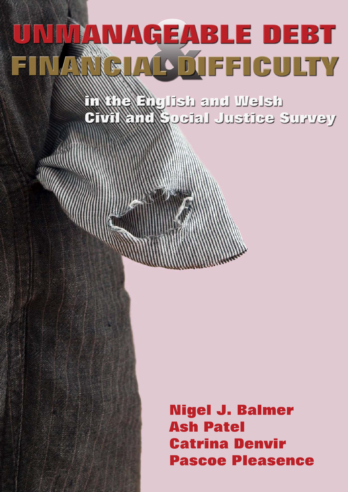# UNITANAGEABLE DEBT RINLOUFFICULTY

delew has delugied CTANSMAR DEEL JUSTICS SURVEY

> **Nigel J. Balmer Ash Patel Catrina Denvir Pascoe Pleasence**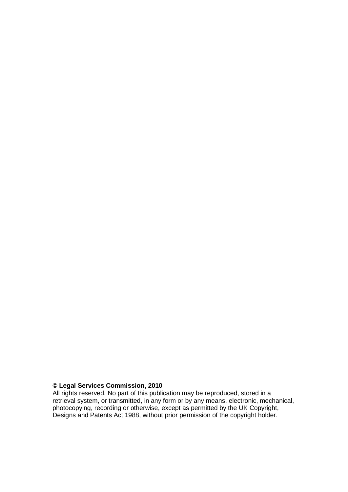# **© Legal Services Commission, 2010**

All rights reserved. No part of this publication may be reproduced, stored in a retrieval system, or transmitted, in any form or by any means, electronic, mechanical, photocopying, recording or otherwise, except as permitted by the UK Copyright, Designs and Patents Act 1988, without prior permission of the copyright holder.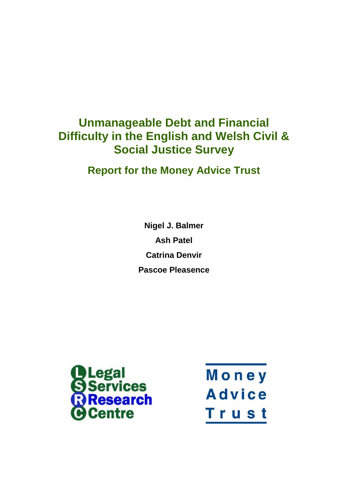# **Unmanageable Debt and Financial Difficulty in the English and Welsh Civil & Social Justice Survey**

**Report for the Money Advice Trust**

**Nigel J. Balmer Ash Patel Catrina Denvir Pascoe Pleasence**



Money **Advice** Trust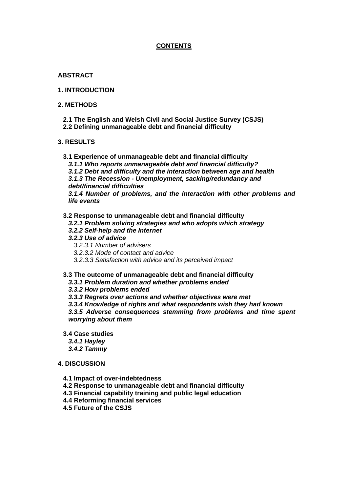# **CONTENTS**

#### **ABSTRACT**

**1. INTRODUCTION**

#### **2. METHODS**

**2.1 The English and Welsh Civil and Social Justice Survey (CSJS) 2.2 Defining unmanageable debt and financial difficulty**

#### **3. RESULTS**

- **3.1 Experience of unmanageable debt and financial difficulty**
	- *3.1.1 Who reports unmanageable debt and financial difficulty?*
	- *3.1.2 Debt and difficulty and the interaction between age and health*
	- *3.1.3 The Recession - Unemployment, sacking/redundancy and debt/financial difficulties*

*3.1.4 Number of problems, and the interaction with other problems and life events* 

#### **3.2 Response to unmanageable debt and financial difficulty**

- *3.2.1 Problem solving strategies and who adopts which strategy*
- *3.2.2 Self-help and the Internet*
- *3.2.3 Use of advice*
	- *3.2.3.1 Number of advisers*
	- *3.2.3.2 Mode of contact and advice*
	- *3.2.3.3 Satisfaction with advice and its perceived impact*

#### **3.3 The outcome of unmanageable debt and financial difficulty**

*3.3.1 Problem duration and whether problems ended*

*3.3.2 How problems ended*

*3.3.3 Regrets over actions and whether objectives were met*

*3.3.4 Knowledge of rights and what respondents wish they had known*

*3.3.5 Adverse consequences stemming from problems and time spent worrying about them*

**3.4 Case studies**

*3.4.1 Hayley*

*3.4.2 Tammy*

#### **4. DISCUSSION**

- **4.1 Impact of over-indebtedness**
- **4.2 Response to unmanageable debt and financial difficulty**
- **4.3 Financial capability training and public legal education**
- **4.4 Reforming financial services**
- **4.5 Future of the CSJS**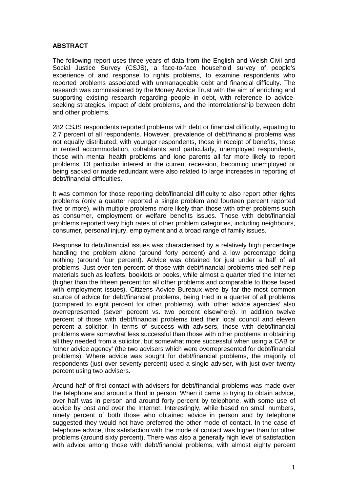# **ABSTRACT**

The following report uses three years of data from the English and Welsh Civil and Social Justice Survey (CSJS), a face-to-face household survey of people's experience of and response to rights problems, to examine respondents who reported problems associated with unmanageable debt and financial difficulty. The research was commissioned by the Money Advice Trust with the aim of enriching and supporting existing research regarding people in debt, with reference to adviceseeking strategies, impact of debt problems, and the interrelationship between debt and other problems.

282 CSJS respondents reported problems with debt or financial difficulty, equating to 2.7 percent of all respondents. However, prevalence of debt/financial problems was not equally distributed, with younger respondents, those in receipt of benefits, those in rented accommodation, cohabitants and particularly, unemployed respondents, those with mental health problems and lone parents all far more likely to report problems. Of particular interest in the current recession, becoming unemployed or being sacked or made redundant were also related to large increases in reporting of debt/financial difficulties.

It was common for those reporting debt/financial difficulty to also report other rights problems (only a quarter reported a single problem and fourteen percent reported five or more), with multiple problems more likely than those with other problems such as consumer, employment or welfare benefits issues. Those with debt/financial problems reported very high rates of other problem categories, including neighbours, consumer, personal injury, employment and a broad range of family issues.

Response to debt/financial issues was characterised by a relatively high percentage handling the problem alone (around forty percent) and a low percentage doing nothing (around four percent). Advice was obtained for just under a half of all problems. Just over ten percent of those with debt/financial problems tried self-help materials such as leaflets, booklets or books, while almost a quarter tried the Internet (higher than the fifteen percent for all other problems and comparable to those faced with employment issues). Citizens Advice Bureaux were by far the most common source of advice for debt/financial problems, being tried in a quarter of all problems (compared to eight percent for other problems), with 'other advice agencies' also overrepresented (seven percent vs. two percent elsewhere). In addition twelve percent of those with debt/financial problems tried their local council and eleven percent a solicitor. In terms of success with advisers, those with debt/financial problems were somewhat less successful than those with other problems in obtaining all they needed from a solicitor, but somewhat more successful when using a CAB or 'other advice agency' (the two advisers which were overrepresented for debt/financial problems). Where advice was sought for debt/financial problems, the majority of respondents (just over seventy percent) used a single adviser, with just over twenty percent using two advisers.

Around half of first contact with advisers for debt/financial problems was made over the telephone and around a third in person. When it came to trying to obtain advice, over half was in person and around forty percent by telephone, with some use of advice by post and over the Internet. Interestingly, while based on small numbers, ninety percent of both those who obtained advice in person and by telephone suggested they would not have preferred the other mode of contact. In the case of telephone advice, this satisfaction with the mode of contact was higher than for other problems (around sixty percent). There was also a generally high level of satisfaction with advice among those with debt/financial problems, with almost eighty percent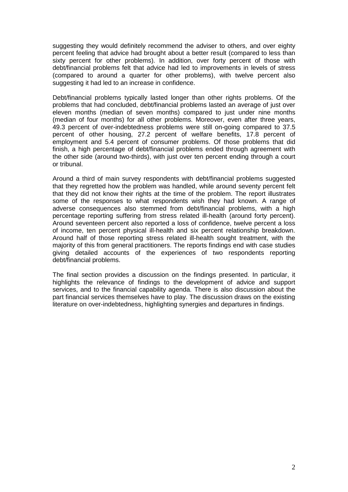suggesting they would definitely recommend the adviser to others, and over eighty percent feeling that advice had brought about a better result (compared to less than sixty percent for other problems). In addition, over forty percent of those with debt/financial problems felt that advice had led to improvements in levels of stress (compared to around a quarter for other problems), with twelve percent also suggesting it had led to an increase in confidence.

Debt/financial problems typically lasted longer than other rights problems. Of the problems that had concluded, debt/financial problems lasted an average of just over eleven months (median of seven months) compared to just under nine months (median of four months) for all other problems. Moreover, even after three years, 49.3 percent of over-indebtedness problems were still on-going compared to 37.5 percent of other housing, 27.2 percent of welfare benefits, 17.8 percent of employment and 5.4 percent of consumer problems. Of those problems that did finish, a high percentage of debt/financial problems ended through agreement with the other side (around two-thirds), with just over ten percent ending through a court or tribunal.

Around a third of main survey respondents with debt/financial problems suggested that they regretted how the problem was handled, while around seventy percent felt that they did not know their rights at the time of the problem. The report illustrates some of the responses to what respondents wish they had known. A range of adverse consequences also stemmed from debt/financial problems, with a high percentage reporting suffering from stress related ill-health (around forty percent). Around seventeen percent also reported a loss of confidence, twelve percent a loss of income, ten percent physical ill-health and six percent relationship breakdown. Around half of those reporting stress related ill-health sought treatment, with the majority of this from general practitioners. The reports findings end with case studies giving detailed accounts of the experiences of two respondents reporting debt/financial problems.

The final section provides a discussion on the findings presented. In particular, it highlights the relevance of findings to the development of advice and support services, and to the financial capability agenda. There is also discussion about the part financial services themselves have to play. The discussion draws on the existing literature on over-indebtedness, highlighting synergies and departures in findings.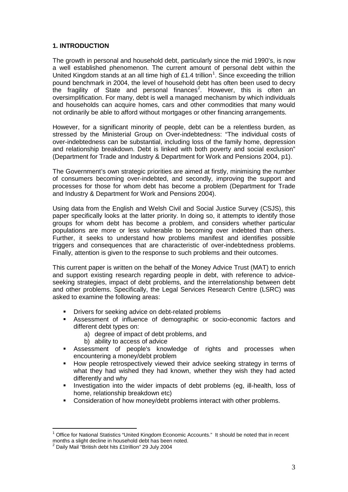#### **1. INTRODUCTION**

The growth in personal and household debt, particularly since the mid 1990's, is now a well established phenomenon. The current amount of personal debt within the United Kingdom stands at an all time high of £[1](#page-6-0).4 trillion<sup>1</sup>. Since exceeding the trillion pound benchmark in 2004, the level of household debt has often been used to decry the fragility of State and personal finances<sup>[2](#page-6-1)</sup>. However, this is often an oversimplification. For many, debt is well a managed mechanism by which individuals and households can acquire homes, cars and other commodities that many would not ordinarily be able to afford without mortgages or other financing arrangements.

However, for a significant minority of people, debt can be a relentless burden, as stressed by the Ministerial Group on Over-indebtedness: "The individual costs of over-indebtedness can be substantial, including loss of the family home, depression and relationship breakdown. Debt is linked with both poverty and social exclusion" (Department for Trade and Industry & Department for Work and Pensions 2004, p1).

The Government's own strategic priorities are aimed at firstly, minimising the number of consumers becoming over-indebted, and secondly, improving the support and processes for those for whom debt has become a problem (Department for Trade and Industry & Department for Work and Pensions 2004).

Using data from the English and Welsh Civil and Social Justice Survey (CSJS), this paper specifically looks at the latter priority. In doing so, it attempts to identify those groups for whom debt has become a problem, and considers whether particular populations are more or less vulnerable to becoming over indebted than others. Further, it seeks to understand how problems manifest and identifies possible triggers and consequences that are characteristic of over-indebtedness problems. Finally, attention is given to the response to such problems and their outcomes.

This current paper is written on the behalf of the Money Advice Trust (MAT) to enrich and support existing research regarding people in debt, with reference to adviceseeking strategies, impact of debt problems, and the interrelationship between debt and other problems. Specifically, the Legal Services Research Centre (LSRC) was asked to examine the following areas:

- Drivers for seeking advice on debt-related problems
- Assessment of influence of demographic or socio-economic factors and different debt types on:
	- a) degree of impact of debt problems, and
	- b) ability to access of advice
- Assessment of people's knowledge of rights and processes when encountering a money/debt problem
- How people retrospectively viewed their advice seeking strategy in terms of what they had wished they had known, whether they wish they had acted differently and why
- Investigation into the wider impacts of debt problems (eg, ill-health, loss of home, relationship breakdown etc)
- Consideration of how money/debt problems interact with other problems.

<span id="page-6-0"></span> $1$  Office for National Statistics "United Kingdom Economic Accounts." It should be noted that in recent months a slight decline in household debt has been noted.

<span id="page-6-1"></span> $2$  Daily Mail "British debt hits £1trillion" 29 July 2004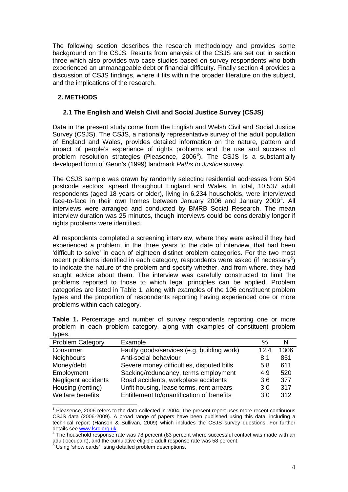The following section describes the research methodology and provides some background on the CSJS. Results from analysis of the CSJS are set out in section three which also provides two case studies based on survey respondents who both experienced an unmanageable debt or financial difficulty. Finally section 4 provides a discussion of CSJS findings, where it fits within the broader literature on the subject, and the implications of the research.

# **2. METHODS**

#### **2.1 The English and Welsh Civil and Social Justice Survey (CSJS)**

Data in the present study come from the English and Welsh Civil and Social Justice Survey (CSJS). The CSJS, a nationally representative survey of the adult population of England and Wales, provides detailed information on the nature, pattern and impact of people's experience of rights problems and the use and success of problem resolution strategies (Pleasence,  $2006<sup>3</sup>$  $2006<sup>3</sup>$  $2006<sup>3</sup>$ ). The CSJS is a substantially developed form of Genn's (1999) landmark *Paths to Justice* survey.

The CSJS sample was drawn by randomly selecting residential addresses from 504 postcode sectors, spread throughout England and Wales. In total, 10,537 adult respondents (aged 18 years or older), living in 6,234 households, were interviewed face-to-face in their own homes between January 2006 and January 2009<sup>[4](#page-7-1)</sup>. All interviews were arranged and conducted by BMRB Social Research. The mean interview duration was 25 minutes, though interviews could be considerably longer if rights problems were identified.

All respondents completed a screening interview, where they were asked if they had experienced a problem, in the three years to the date of interview, that had been 'difficult to solve' in each of eighteen distinct problem categories. For the two most recent problems identified in each category, respondents were asked (if necessary $5$ ) to indicate the nature of the problem and specify whether, and from where, they had sought advice about them. The interview was carefully constructed to limit the problems reported to those to which legal principles can be applied. Problem categories are listed in Table 1, along with examples of the 106 constituent problem types and the proportion of respondents reporting having experienced one or more problems within each category.

| いいしい い                  |                                            |      |      |
|-------------------------|--------------------------------------------|------|------|
| <b>Problem Category</b> | Example                                    | %    | N    |
| Consumer                | Faulty goods/services (e.g. building work) | 12.4 | 1306 |
| <b>Neighbours</b>       | Anti-social behaviour                      | 8.1  | 851  |
| Money/debt              | Severe money difficulties, disputed bills  | 5.8  | 611  |
| Employment              | Sacking/redundancy, terms employment       | 4.9  | 520  |
| Negligent accidents     | Road accidents, workplace accidents        | 3.6  | 377  |
| Housing (renting)       | Unfit housing, lease terms, rent arrears   | 3.0  | 317  |
| Welfare benefits        | Entitlement to/quantification of benefits  | 3.0  | 312  |

**Table 1.** Percentage and number of survey respondents reporting one or more problem in each problem category, along with examples of constituent problem types

<span id="page-7-0"></span><sup>&</sup>lt;sup>3</sup> Pleasence, 2006 refers to the data collected in 2004. The present report uses more recent continuous CSJS data (2006-2009). A broad range of papers have been published using this data, including a technical report (Hanson & Sullivan, 2009) which includes the CSJS survey questions. For further details see www.lsrc.org.uk.

<span id="page-7-1"></span><sup>&</sup>lt;sup>4</sup> The household response rate was 78 percent (83 percent where successful contact was made with an adult occupant), and the cumulative eligible adult response rate was 58 percent.

<span id="page-7-2"></span><sup>5</sup> Using 'show cards' listing detailed problem descriptions.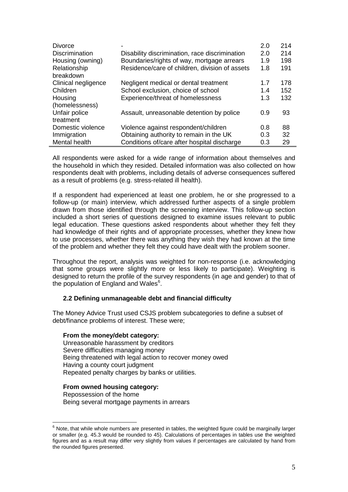| <b>Divorce</b>        |                                                | 2.0 | 214 |
|-----------------------|------------------------------------------------|-----|-----|
| <b>Discrimination</b> | Disability discrimination, race discrimination | 2.0 | 214 |
| Housing (owning)      | Boundaries/rights of way, mortgage arrears     | 1.9 | 198 |
| Relationship          | Residence/care of children, division of assets | 1.8 | 191 |
| breakdown             |                                                |     |     |
| Clinical negligence   | Negligent medical or dental treatment          | 1.7 | 178 |
| Children              | School exclusion, choice of school             | 1.4 | 152 |
| Housing               | Experience/threat of homelessness              | 1.3 | 132 |
| (homelessness)        |                                                |     |     |
| Unfair police         | Assault, unreasonable detention by police      | 0.9 | 93  |
| treatment             |                                                |     |     |
| Domestic violence     | Violence against respondent/children           | 0.8 | 88  |
| Immigration           | Obtaining authority to remain in the UK        | 0.3 | 32  |
| Mental health         | Conditions of/care after hospital discharge    | 0.3 | 29  |

All respondents were asked for a wide range of information about themselves and the household in which they resided. Detailed information was also collected on how respondents dealt with problems, including details of adverse consequences suffered as a result of problems (e.g. stress-related ill health).

If a respondent had experienced at least one problem, he or she progressed to a follow-up (or main) interview, which addressed further aspects of a single problem drawn from those identified through the screening interview. This follow-up section included a short series of questions designed to examine issues relevant to public legal education. These questions asked respondents about whether they felt they had knowledge of their rights and of appropriate processes, whether they knew how to use processes, whether there was anything they wish they had known at the time of the problem and whether they felt they could have dealt with the problem sooner.

Throughout the report, analysis was weighted for non-response (i.e. acknowledging that some groups were slightly more or less likely to participate). Weighting is designed to return the profile of the survey respondents (in age and gender) to that of the population of England and Wales $6$ .

#### **2.2 Defining unmanageable debt and financial difficulty**

The Money Advice Trust used CSJS problem subcategories to define a subset of debt/finance problems of interest. These were;

#### **From the money/debt category:**

Unreasonable harassment by creditors Severe difficulties managing money Being threatened with legal action to recover money owed Having a county court judgment Repeated penalty charges by banks or utilities.

#### **From owned housing category:**

Repossession of the home Being several mortgage payments in arrears

<span id="page-8-0"></span> $6$  Note, that while whole numbers are presented in tables, the weighted figure could be marginally larger or smaller (e.g. 45.3 would be rounded to 45). Calculations of percentages in tables use the weighted figures and as a result may differ very slightly from values if percentages are calculated by hand from the rounded figures presented.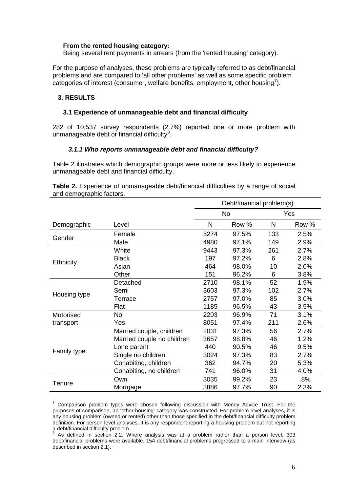#### **From the rented housing category:**

Being several rent payments in arrears (from the 'rented housing' category).

For the purpose of analyses, these problems are typically referred to as debt/financial problems and are compared to 'all other problems' as well as some specific problem categories of interest (consumer, welfare benefits, employment, other housing<sup>[7](#page-9-0)</sup>).

#### **3. RESULTS**

#### **3.1 Experience of unmanageable debt and financial difficulty**

282 of 10,537 survey respondents (2.7%) reported one or more problem with unmanageable debt or financial difficulty<sup>[8](#page-9-1)</sup>.

#### *3.1.1 Who reports unmanageable debt and financial difficulty?*

Table 2 illustrates which demographic groups were more or less likely to experience unmanageable debt and financial difficulty.

**Table 2.** Experience of unmanageable debt/financial difficulties by a range of social and demographic factors.

|                  | Debt/financial problem(s)  |      |           |     |       |  |  |
|------------------|----------------------------|------|-----------|-----|-------|--|--|
|                  |                            |      | <b>No</b> | Yes |       |  |  |
| Demographic      | Level                      | N    | Row %     | N   | Row % |  |  |
| Gender           | Female                     | 5274 | 97.5%     | 133 | 2.5%  |  |  |
|                  | Male                       | 4980 | 97.1%     | 149 | 2.9%  |  |  |
|                  | White                      | 9443 | 97.3%     | 261 | 2.7%  |  |  |
|                  | <b>Black</b>               | 197  | 97.2%     | 6   | 2.8%  |  |  |
| <b>Ethnicity</b> | Asian                      | 464  | 98.0%     | 10  | 2.0%  |  |  |
|                  | Other                      | 151  | 96.2%     | 6   | 3.8%  |  |  |
|                  | Detached                   | 2710 | 98.1%     | 52  | 1.9%  |  |  |
| Housing type     | Semi                       | 3603 | 97.3%     | 102 | 2.7%  |  |  |
|                  | Terrace                    | 2757 | 97.0%     | 85  | 3.0%  |  |  |
|                  | Flat                       | 1185 | 96.5%     | 43  | 3.5%  |  |  |
| Motorised        | <b>No</b>                  | 2203 | 96.9%     | 71  | 3.1%  |  |  |
| transport        | Yes                        | 8051 | 97.4%     | 211 | 2.6%  |  |  |
|                  | Married couple, children   | 2031 | 97.3%     | 56  | 2.7%  |  |  |
|                  | Married couple no children | 3657 | 98.8%     | 46  | 1.2%  |  |  |
| Family type      | Lone parent                | 440  | 90.5%     | 46  | 9.5%  |  |  |
|                  | Single no children         | 3024 | 97.3%     | 83  | 2.7%  |  |  |
|                  | Cohabiting, children       | 362  | 94.7%     | 20  | 5.3%  |  |  |
|                  | Cohabiting, no children    | 741  | 96.0%     | 31  | 4.0%  |  |  |
| Tenure           | Own                        | 3035 | 99.2%     | 23  | .8%   |  |  |
|                  | Mortgage                   | 3886 | 97.7%     | 90  | 2.3%  |  |  |

<span id="page-9-0"></span><sup>7</sup> Comparison problem types were chosen following discussion with Money Advice Trust. For the purposes of comparison, an 'other housing' category was constructed. For problem level analyses, it is any housing problem (owned or rented) other than those specified in the debt/financial difficulty problem definition. For person level analyses, it is any respondent reporting a housing problem but not reporting a debt/financial difficulty problem.

<span id="page-9-1"></span><sup>8</sup> As defined in section 2.2. Where analysis was at a problem rather than a person level, 303 debt/financial problems were available. 154 debt/financial problems progressed to a main interview (as described in section 2.1).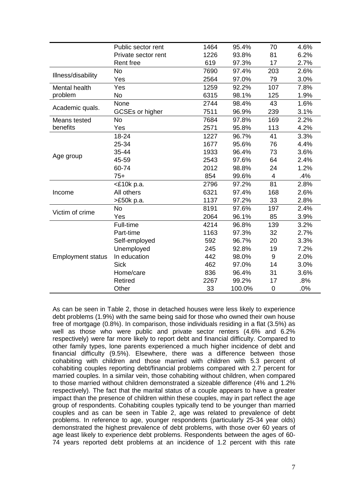|                          |                     | 1464 | 95.4%  | 70          | 4.6% |
|--------------------------|---------------------|------|--------|-------------|------|
|                          | Public sector rent  |      |        |             |      |
|                          | Private sector rent | 1226 | 93.8%  | 81          | 6.2% |
|                          | Rent free           | 619  | 97.3%  | 17          | 2.7% |
| Illness/disability       | No                  | 7690 | 97.4%  | 203         | 2.6% |
|                          | Yes                 | 2564 | 97.0%  | 79          | 3.0% |
| Mental health            | Yes                 | 1259 | 92.2%  | 107         | 7.8% |
| problem                  | No                  | 6315 | 98.1%  | 125         | 1.9% |
|                          | None                | 2744 | 98.4%  | 43          | 1.6% |
| Academic quals.          | GCSEs or higher     | 7511 | 96.9%  | 239         | 3.1% |
| Means tested             | No                  | 7684 | 97.8%  | 169         | 2.2% |
| benefits                 | Yes                 | 2571 | 95.8%  | 113         | 4.2% |
|                          | 18-24               | 1227 | 96.7%  | 41          | 3.3% |
|                          | 25-34               | 1677 | 95.6%  | 76          | 4.4% |
|                          | 35-44               | 1933 | 96.4%  | 73          | 3.6% |
| Age group                | 45-59               | 2543 | 97.6%  | 64          | 2.4% |
|                          | 60-74               | 2012 | 98.8%  | 24          | 1.2% |
|                          | $75+$               | 854  | 99.6%  | 4           | .4%  |
|                          | <£10k p.a.          | 2796 | 97.2%  | 81          | 2.8% |
| Income                   | All others          | 6321 | 97.4%  | 168         | 2.6% |
|                          | >£50k p.a.          | 1137 | 97.2%  | 33          | 2.8% |
|                          | <b>No</b>           | 8191 | 97.6%  | 197         | 2.4% |
| Victim of crime          | Yes                 | 2064 | 96.1%  | 85          | 3.9% |
|                          | Full-time           | 4214 | 96.8%  | 139         | 3.2% |
|                          | Part-time           | 1163 | 97.3%  | 32          | 2.7% |
|                          | Self-employed       | 592  | 96.7%  | 20          | 3.3% |
|                          | Unemployed          | 245  | 92.8%  | 19          | 7.2% |
| <b>Employment status</b> | In education        | 442  | 98.0%  | 9           | 2.0% |
|                          | <b>Sick</b>         | 462  | 97.0%  | 14          | 3.0% |
|                          | Home/care           | 836  | 96.4%  | 31          | 3.6% |
|                          | Retired             | 2267 | 99.2%  | 17          | .8%  |
|                          | Other               | 33   | 100.0% | $\mathbf 0$ | .0%  |

As can be seen in Table 2, those in detached houses were less likely to experience debt problems (1.9%) with the same being said for those who owned their own house free of mortgage (0.8%). In comparison, those individuals residing in a flat (3.5%) as well as those who were public and private sector renters (4.6% and 6.2% respectively) were far more likely to report debt and financial difficulty. Compared to other family types, lone parents experienced a much higher incidence of debt and financial difficulty (9.5%). Elsewhere, there was a difference between those cohabiting with children and those married with children with 5.3 percent of cohabiting couples reporting debt/financial problems compared with 2.7 percent for married couples. In a similar vein, those cohabiting without children, when compared to those married without children demonstrated a sizeable difference (4% and 1.2% respectively). The fact that the marital status of a couple appears to have a greater impact than the presence of children within these couples, may in part reflect the age group of respondents. Cohabiting couples typically tend to be younger than married couples and as can be seen in Table 2, age was related to prevalence of debt problems. In reference to age, younger respondents (particularly 25-34 year olds) demonstrated the highest prevalence of debt problems, with those over 60 years of age least likely to experience debt problems. Respondents between the ages of 60- 74 years reported debt problems at an incidence of 1.2 percent with this rate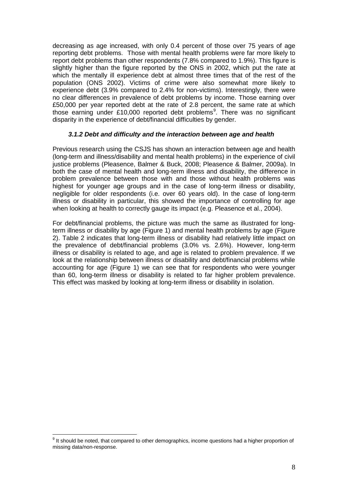decreasing as age increased, with only 0.4 percent of those over 75 years of age reporting debt problems. Those with mental health problems were far more likely to report debt problems than other respondents (7.8% compared to 1.9%). This figure is slightly higher than the figure reported by the ONS in 2002, which put the rate at which the mentally ill experience debt at almost three times that of the rest of the population (ONS 2002). Victims of crime were also somewhat more likely to experience debt (3.9% compared to 2.4% for non-victims). Interestingly, there were no clear differences in prevalence of debt problems by income. Those earning over £50,000 per year reported debt at the rate of 2.8 percent, the same rate at which those earning under £10,000 reported debt problems<sup>[9](#page-11-0)</sup>. There was no significant disparity in the experience of debt/financial difficulties by gender.

#### *3.1.2 Debt and difficulty and the interaction between age and health*

Previous research using the CSJS has shown an interaction between age and health (long-term and illness/disability and mental health problems) in the experience of civil justice problems (Pleasence, Balmer & Buck, 2008; Pleasence & Balmer, 2009a). In both the case of mental health and long-term illness and disability, the difference in problem prevalence between those with and those without health problems was highest for younger age groups and in the case of long-term illness or disability, negligible for older respondents (i.e. over 60 years old). In the case of long-term illness or disability in particular, this showed the importance of controlling for age when looking at health to correctly gauge its impact (e.g. Pleasence et al., 2004).

For debt/financial problems, the picture was much the same as illustrated for longterm illness or disability by age (Figure 1) and mental health problems by age (Figure 2). Table 2 indicates that long-term illness or disability had relatively little impact on the prevalence of debt/financial problems (3.0% vs. 2.6%). However, long-term illness or disability is related to age, and age is related to problem prevalence. If we look at the relationship between illness or disability and debt/financial problems while accounting for age (Figure 1) we can see that for respondents who were younger than 60, long-term illness or disability is related to far higher problem prevalence. This effect was masked by looking at long-term illness or disability in isolation.

<span id="page-11-0"></span><sup>&</sup>lt;sup>9</sup> It should be noted, that compared to other demographics, income questions had a higher proportion of missing data/non-response.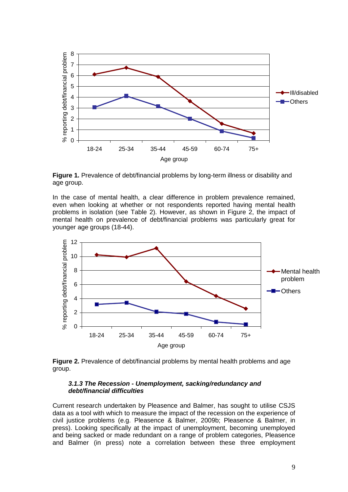

**Figure 1.** Prevalence of debt/financial problems by long-term illness or disability and age group.

In the case of mental health, a clear difference in problem prevalence remained, even when looking at whether or not respondents reported having mental health problems in isolation (see Table 2). However, as shown in Figure 2, the impact of mental health on prevalence of debt/financial problems was particularly great for younger age groups (18-44).



**Figure 2.** Prevalence of debt/financial problems by mental health problems and age group.

#### *3.1.3 The Recession - Unemployment, sacking/redundancy and debt/financial difficulties*

Current research undertaken by Pleasence and Balmer, has sought to utilise CSJS data as a tool with which to measure the impact of the recession on the experience of civil justice problems (e.g. Pleasence & Balmer, 2009b; Pleasence & Balmer, in press). Looking specifically at the impact of unemployment, becoming unemployed and being sacked or made redundant on a range of problem categories, Pleasence and Balmer (in press) note a correlation between these three employment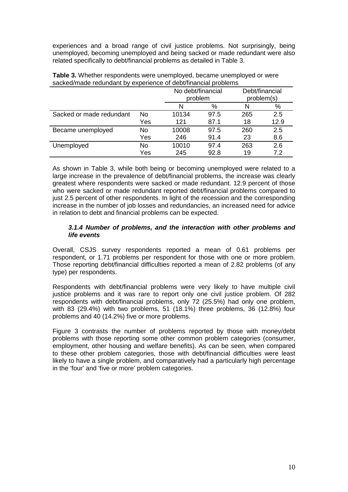experiences and a broad range of civil justice problems. Not surprisingly, being unemployed, becoming unemployed and being sacked or made redundant were also related specifically to debt/financial problems as detailed in Table 3.

|                          |     |       | No debt/financial<br>problem |     | Debt/financial<br>problem(s) |  |  |  |
|--------------------------|-----|-------|------------------------------|-----|------------------------------|--|--|--|
|                          |     | N     | %                            | N   | %                            |  |  |  |
| Sacked or made redundant | No  | 10134 | 97.5                         | 265 | 2.5                          |  |  |  |
|                          | Yes | 121   | 87.1                         | 18  | 12.9                         |  |  |  |
| Became unemployed        | No  | 10008 | 97.5                         | 260 | 2.5                          |  |  |  |
|                          | Yes | 246   | 91.4                         | 23  | 8.6                          |  |  |  |
| Unemployed               | No  | 10010 | 97.4                         | 263 | 2.6                          |  |  |  |
|                          | Yes | 245   | 92.8                         | 19  | 7.2                          |  |  |  |

**Table 3.** Whether respondents were unemployed, became unemployed or were sacked/made redundant by experience of debt/financial problems

As shown in Table 3, while both being or becoming unemployed were related to a large increase in the prevalence of debt/financial problems, the increase was clearly greatest where respondents were sacked or made redundant. 12.9 percent of those who were sacked or made redundant reported debt/financial problems compared to just 2.5 percent of other respondents. In light of the recession and the corresponding increase in the number of job losses and redundancies, an increased need for advice in relation to debt and financial problems can be expected.

#### *3.1.4 Number of problems, and the interaction with other problems and life events*

Overall, CSJS survey respondents reported a mean of 0.61 problems per respondent, or 1.71 problems per respondent for those with one or more problem. Those reporting debt/financial difficulties reported a mean of 2.82 problems (of any type) per respondents.

Respondents with debt/financial problems were very likely to have multiple civil justice problems and it was rare to report only one civil justice problem. Of 282 respondents with debt/financial problems, only 72 (25.5%) had only one problem, with 83 (29.4%) with two problems, 51 (18.1%) three problems, 36 (12.8%) four problems and 40 (14.2%) five or more problems.

Figure 3 contrasts the number of problems reported by those with money/debt problems with those reporting some other common problem categories (consumer, employment, other housing and welfare benefits). As can be seen, when compared to these other problem categories, those with debt/financial difficulties were least likely to have a single problem, and comparatively had a particularly high percentage in the 'four' and 'five or more' problem categories.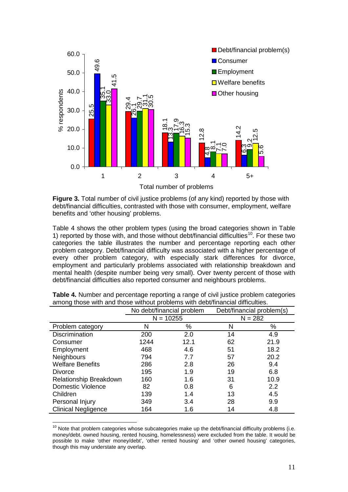

**Figure 3.** Total number of civil justice problems (of any kind) reported by those with debt/financial difficulties, contrasted with those with consumer, employment, welfare benefits and 'other housing' problems.

Table 4 shows the other problem types (using the broad categories shown in Table 1) reported by those with, and those without debt/financial difficulties<sup>10</sup>. For these two categories the table illustrates the number and percentage reporting each other problem category. Debt/financial difficulty was associated with a higher percentage of every other problem category, with especially stark differences for divorce, employment and particularly problems associated with relationship breakdown and mental health (despite number being very small). Over twenty percent of those with debt/financial difficulties also reported consumer and neighbours problems.

|                            |      | No debt/financial problem |           | Debt/financial problem(s) |  |
|----------------------------|------|---------------------------|-----------|---------------------------|--|
|                            |      | $N = 10255$               | $N = 282$ |                           |  |
| Problem category           | N    | %                         | N         | %                         |  |
| <b>Discrimination</b>      | 200  | 2.0                       | 14        | 4.9                       |  |
| Consumer                   | 1244 | 12.1                      | 62        | 21.9                      |  |
| Employment                 | 468  | 4.6                       | 51        | 18.2                      |  |
| Neighbours                 | 794  | 7.7                       | 57        | 20.2                      |  |
| <b>Welfare Benefits</b>    | 286  | 2.8                       | 26        | 9.4                       |  |
| Divorce                    | 195  | 1.9                       | 19        | 6.8                       |  |
| Relationship Breakdown     | 160  | 1.6                       | 31        | 10.9                      |  |
| Domestic Violence          | 82   | 0.8                       | 6         | 2.2                       |  |
| Children                   | 139  | 1.4                       | 13        | 4.5                       |  |
| Personal Injury            | 349  | 3.4                       | 28        | 9.9                       |  |
| <b>Clinical Negligence</b> | 164  | 1.6                       | 14        | 4.8                       |  |

**Table 4.** Number and percentage reporting a range of civil justice problem categories among those with and those without problems with debt/financial difficulties.

<span id="page-14-0"></span> $10$  Note that problem categories whose subcategories make up the debt/financial difficulty problems (i.e. money/debt. owned housing, rented housing, homelessness) were excluded from the table. It would be possible to make 'other money/debt', 'other rented housing' and 'other owned housing' categories, though this may understate any overlap.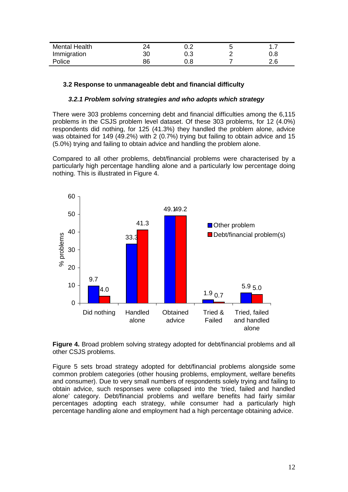| <b>Mental Health</b> |          |     |     |
|----------------------|----------|-----|-----|
| Immigration          | ว∩<br>טע | 0.3 | 0.8 |
| Police               |          | J.8 | 2.U |

# **3.2 Response to unmanageable debt and financial difficulty**

#### *3.2.1 Problem solving strategies and who adopts which strategy*

There were 303 problems concerning debt and financial difficulties among the 6,115 problems in the CSJS problem level dataset. Of these 303 problems, for 12 (4.0%) respondents did nothing, for 125 (41.3%) they handled the problem alone, advice was obtained for 149 (49.2%) with 2 (0.7%) trying but failing to obtain advice and 15 (5.0%) trying and failing to obtain advice and handling the problem alone.

Compared to all other problems, debt/financial problems were characterised by a particularly high percentage handling alone and a particularly low percentage doing nothing. This is illustrated in Figure 4.



**Figure 4.** Broad problem solving strategy adopted for debt/financial problems and all other CSJS problems.

Figure 5 sets broad strategy adopted for debt/financial problems alongside some common problem categories (other housing problems, employment, welfare benefits and consumer). Due to very small numbers of respondents solely trying and failing to obtain advice, such responses were collapsed into the 'tried, failed and handled alone' category. Debt/financial problems and welfare benefits had fairly similar percentages adopting each strategy, while consumer had a particularly high percentage handling alone and employment had a high percentage obtaining advice.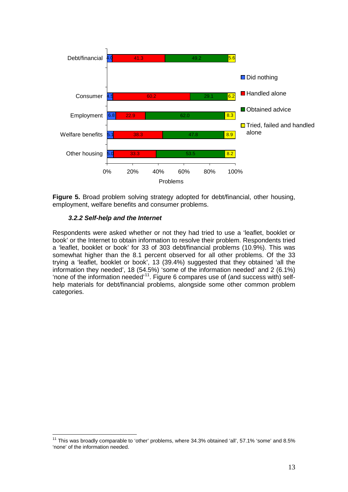

**Figure 5.** Broad problem solving strategy adopted for debt/financial, other housing, employment, welfare benefits and consumer problems.

# *3.2.2 Self-help and the Internet*

Respondents were asked whether or not they had tried to use a 'leaflet, booklet or book' or the Internet to obtain information to resolve their problem. Respondents tried a 'leaflet, booklet or book' for 33 of 303 debt/financial problems (10.9%). This was somewhat higher than the 8.1 percent observed for all other problems. Of the 33 trying a 'leaflet, booklet or book', 13 (39.4%) suggested that they obtained 'all the information they needed', 18 (54.5%) 'some of the information needed' and 2 (6.1%) 'none of the information needed'[11.](#page-16-0) Figure 6 compares use of (and success with) selfhelp materials for debt/financial problems, alongside some other common problem categories.

<span id="page-16-0"></span> $11$  This was broadly comparable to 'other' problems, where 34.3% obtained 'all', 57.1% 'some' and 8.5% 'none' of the information needed.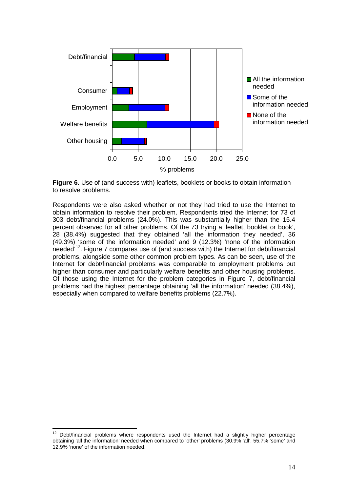



Respondents were also asked whether or not they had tried to use the Internet to obtain information to resolve their problem. Respondents tried the Internet for 73 of 303 debt/financial problems (24.0%). This was substantially higher than the 15.4 percent observed for all other problems. Of the 73 trying a 'leaflet, booklet or book', 28 (38.4%) suggested that they obtained 'all the information they needed', 36 (49.3%) 'some of the information needed' and 9 (12.3%) 'none of the information needed'[12](#page-17-0). Figure 7 compares use of (and success with) the Internet for debt/financial problems, alongside some other common problem types. As can be seen, use of the Internet for debt/financial problems was comparable to employment problems but higher than consumer and particularly welfare benefits and other housing problems. Of those using the Internet for the problem categories in Figure 7, debt/financial problems had the highest percentage obtaining 'all the information' needed (38.4%), especially when compared to welfare benefits problems (22.7%).

<span id="page-17-0"></span> $12$  Debt/financial problems where respondents used the Internet had a slightly higher percentage obtaining 'all the information' needed when compared to 'other' problems (30.9% 'all', 55.7% 'some' and 12.9% 'none' of the information needed.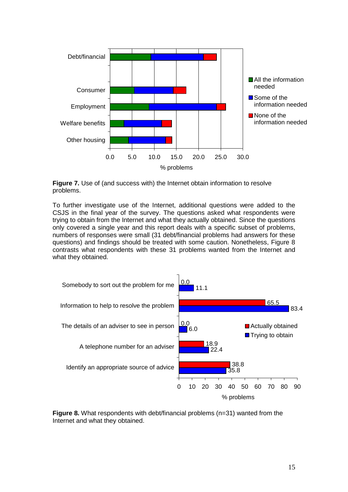



To further investigate use of the Internet, additional questions were added to the CSJS in the final year of the survey. The questions asked what respondents were trying to obtain from the Internet and what they actually obtained. Since the questions only covered a single year and this report deals with a specific subset of problems, numbers of responses were small (31 debt/financial problems had answers for these questions) and findings should be treated with some caution. Nonetheless, Figure 8 contrasts what respondents with these 31 problems wanted from the Internet and what they obtained.



**Figure 8.** What respondents with debt/financial problems (n=31) wanted from the Internet and what they obtained.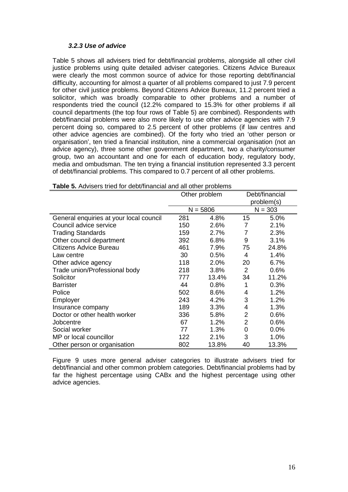#### *3.2.3 Use of advice*

Table 5 shows all advisers tried for debt/financial problems, alongside all other civil justice problems using quite detailed adviser categories. Citizens Advice Bureaux were clearly the most common source of advice for those reporting debt/financial difficulty, accounting for almost a quarter of all problems compared to just 7.9 percent for other civil justice problems. Beyond Citizens Advice Bureaux, 11.2 percent tried a solicitor, which was broadly comparable to other problems and a number of respondents tried the council (12.2% compared to 15.3% for other problems if all council departments (the top four rows of Table 5) are combined). Respondents with debt/financial problems were also more likely to use other advice agencies with 7.9 percent doing so, compared to 2.5 percent of other problems (if law centres and other advice agencies are combined). Of the forty who tried an 'other person or organisation', ten tried a financial institution, nine a commercial organisation (not an advice agency), three some other government department, two a charity/consumer group, two an accountant and one for each of education body, regulatory body, media and ombudsman. The ten trying a financial institution represented 3.3 percent of debt/financial problems. This compared to 0.7 percent of all other problems.

|                                         | Other problem |            | Debt/financial<br>problem(s) |           |  |
|-----------------------------------------|---------------|------------|------------------------------|-----------|--|
|                                         |               |            |                              |           |  |
|                                         |               | $N = 5806$ |                              | $N = 303$ |  |
| General enquiries at your local council | 281           | 4.8%       | 15                           | 5.0%      |  |
| Council advice service                  | 150           | 2.6%       | 7                            | 2.1%      |  |
| <b>Trading Standards</b>                | 159           | 2.7%       | 7                            | 2.3%      |  |
| Other council department                | 392           | 6.8%       | 9                            | 3.1%      |  |
| Citizens Advice Bureau                  | 461           | 7.9%       | 75                           | 24.8%     |  |
| Law centre                              | 30            | 0.5%       | 4                            | 1.4%      |  |
| Other advice agency                     | 118           | 2.0%       | 20                           | 6.7%      |  |
| Trade union/Professional body           | 218           | 3.8%       | 2                            | 0.6%      |  |
| Solicitor                               | 777           | 13.4%      | 34                           | 11.2%     |  |
| <b>Barrister</b>                        | 44            | 0.8%       | 1                            | 0.3%      |  |
| Police                                  | 502           | 8.6%       | 4                            | 1.2%      |  |
| Employer                                | 243           | 4.2%       | 3                            | 1.2%      |  |
| Insurance company                       | 189           | 3.3%       | 4                            | 1.3%      |  |
| Doctor or other health worker           | 336           | 5.8%       | 2                            | 0.6%      |  |
| Jobcentre                               | 67            | 1.2%       | 2                            | 0.6%      |  |
| Social worker                           | 77            | 1.3%       | 0                            | 0.0%      |  |
| MP or local councillor                  | 122           | 2.1%       | 3                            | 1.0%      |  |
| Other person or organisation            | 802           | 13.8%      | 40                           | 13.3%     |  |

**Table 5.** Advisers tried for debt/financial and all other problems

Figure 9 uses more general adviser categories to illustrate advisers tried for debt/financial and other common problem categories. Debt/financial problems had by far the highest percentage using CABx and the highest percentage using other advice agencies.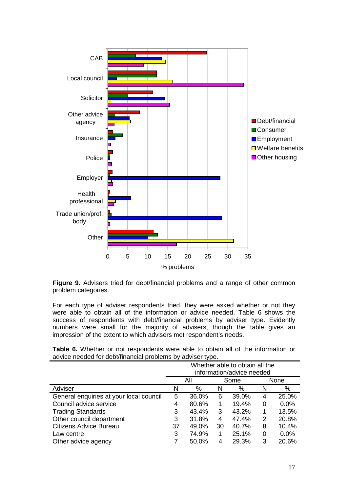

**Figure 9.** Advisers tried for debt/financial problems and a range of other common problem categories.

For each type of adviser respondents tried, they were asked whether or not they were able to obtain all of the information or advice needed. Table 6 shows the success of respondents with debt/financial problems by adviser type. Evidently numbers were small for the majority of advisers, though the table gives an impression of the extent to which advisers met respondent's needs.

**Table 6.** Whether or not respondents were able to obtain all of the information or advice needed for debt/financial problems by adviser type.

|                                         | Whether able to obtain all the |       |    |       |   |             |  |  |
|-----------------------------------------|--------------------------------|-------|----|-------|---|-------------|--|--|
|                                         | information/advice needed      |       |    |       |   |             |  |  |
|                                         |                                | All   |    | Some  |   | <b>None</b> |  |  |
| Adviser                                 | N                              | %     | N  | %     | N | %           |  |  |
| General enquiries at your local council | 5                              | 36.0% | 6  | 39.0% | 4 | 25.0%       |  |  |
| Council advice service                  | 4                              | 80.6% | 1  | 19.4% | 0 | $0.0\%$     |  |  |
| <b>Trading Standards</b>                | 3                              | 43.4% | 3  | 43.2% | 1 | 13.5%       |  |  |
| Other council department                | 3                              | 31.8% | 4  | 47.4% | 2 | 20.8%       |  |  |
| Citizens Advice Bureau                  | 37                             | 49.0% | 30 | 40.7% | 8 | 10.4%       |  |  |
| Law centre                              | 3                              | 74.9% |    | 25.1% | 0 | 0.0%        |  |  |
| Other advice agency                     |                                | 50.0% | 4  | 29.3% | 3 | 20.6%       |  |  |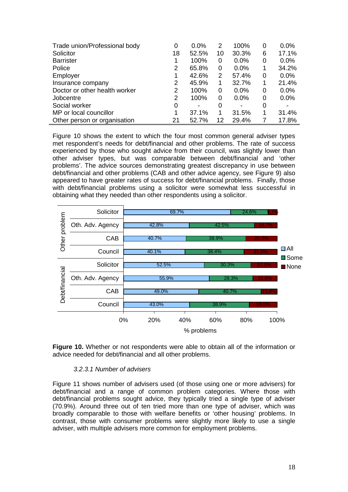| Trade union/Professional body | 0  | 0.0%                     | 2  | 100%  | 0 | 0.0%  |
|-------------------------------|----|--------------------------|----|-------|---|-------|
| Solicitor                     | 18 | 52.5%                    | 10 | 30.3% | 6 | 17.1% |
| <b>Barrister</b>              |    | 100%                     | 0  | 0.0%  | 0 | 0.0%  |
| Police                        | 2  | 65.8%                    | 0  | 0.0%  | 1 | 34.2% |
| Employer                      |    | 42.6%                    | 2  | 57.4% | 0 | 0.0%  |
| Insurance company             | 2  | 45.9%                    | 1  | 32.7% | 1 | 21.4% |
| Doctor or other health worker | 2  | 100%                     | 0  | 0.0%  | 0 | 0.0%  |
| Jobcentre                     | 2  | 100%                     | 0  | 0.0%  | 0 | 0.0%  |
| Social worker                 | 0  | $\overline{\phantom{0}}$ | 0  | -     | 0 |       |
| MP or local councillor        | 1  | 37.1%                    | 1  | 31.5% | 1 | 31.4% |
| Other person or organisation  | 21 | 52.7%                    | 12 | 29.4% |   | 17.8% |

Figure 10 shows the extent to which the four most common general adviser types met respondent's needs for debt/financial and other problems. The rate of success experienced by those who sought advice from their council, was slightly lower than other adviser types, but was comparable between debt/financial and 'other problems'. The advice sources demonstrating greatest discrepancy in use between debt/financial and other problems (CAB and other advice agency, see Figure 9) also appeared to have greater rates of success for debt/financial problems. Finally, those with debt/financial problems using a solicitor were somewhat less successful in obtaining what they needed than other respondents using a solicitor.



**Figure 10.** Whether or not respondents were able to obtain all of the information or advice needed for debt/financial and all other problems.

#### *3.2.3.1 Number of advisers*

Figure 11 shows number of advisers used (of those using one or more advisers) for debt/financial and a range of common problem categories. Where those with debt/financial problems sought advice, they typically tried a single type of adviser (70.9%). Around three out of ten tried more than one type of adviser, which was broadly comparable to those with welfare benefits or 'other housing' problems. In contrast, those with consumer problems were slightly more likely to use a single adviser, with multiple advisers more common for employment problems.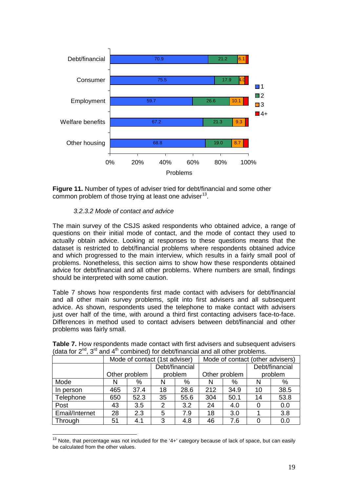



# *3.2.3.2 Mode of contact and advice*

The main survey of the CSJS asked respondents who obtained advice, a range of questions on their initial mode of contact, and the mode of contact they used to actually obtain advice. Looking at responses to these questions means that the dataset is restricted to debt/financial problems where respondents obtained advice and which progressed to the main interview, which results in a fairly small pool of problems. Nonetheless, this section aims to show how these respondents obtained advice for debt/financial and all other problems. Where numbers are small, findings should be interpreted with some caution.

Table 7 shows how respondents first made contact with advisers for debt/financial and all other main survey problems, split into first advisers and all subsequent advice. As shown, respondents used the telephone to make contact with advisers just over half of the time, with around a third first contacting advisers face-to-face. Differences in method used to contact advisers between debt/financial and other problems was fairly small.

|                | Mode of contact (1st adviser) |               |    |                |     |               |    | Mode of contact (other advisers) |         |
|----------------|-------------------------------|---------------|----|----------------|-----|---------------|----|----------------------------------|---------|
|                |                               |               |    | Debt/financial |     |               |    | Debt/financial                   |         |
|                |                               | Other problem |    | problem        |     | Other problem |    |                                  | problem |
| Mode           | N                             | %             | N  | %              | N   | %             | N  | %                                |         |
| In person      | 465                           | 37.4          | 18 | 28.6           | 212 | 34.9          | 10 | 38.5                             |         |
| Telephone      | 650                           | 52.3          | 35 | 55.6           | 304 | 50.1          | 14 | 53.8                             |         |
| Post           | 43                            | 3.5           | 2  | 3.2            | 24  | 4.0           | 0  | 0.0                              |         |
| Email/Internet | 28                            | 2.3           | 5  | 7.9            | 18  | 3.0           |    | 3.8                              |         |
| Through        | 51                            | 4.1           | 3  | 4.8            | 46  | 7.6           |    | 0.0                              |         |

**Table 7.** How respondents made contact with first advisers and subsequent advisers (data for  $2^{nd}$ ,  $3^{rd}$  and  $4^{th}$  combined) for debt/financial and all other problems.

<span id="page-22-0"></span> $13$  Note, that percentage was not included for the '4+' category because of lack of space, but can easily be calculated from the other values.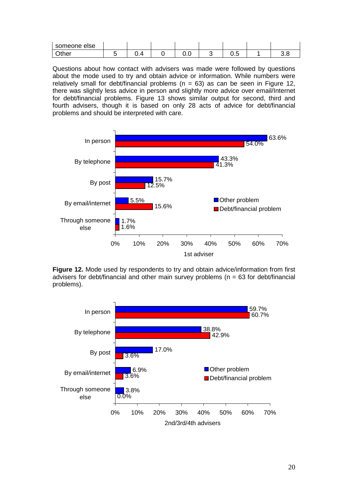| someone else |            |     |                        |     |
|--------------|------------|-----|------------------------|-----|
| <b>Other</b> | . .<br>u.n | v.v | $\sim$ $-$<br>-<br>∪.∪ | v.u |

Questions about how contact with advisers was made were followed by questions about the mode used to try and obtain advice or information. While numbers were relatively small for debt/financial problems ( $n = 63$ ) as can be seen in Figure 12, there was slightly less advice in person and slightly more advice over email/Internet for debt/financial problems. Figure 13 shows similar output for second, third and fourth advisers, though it is based on only 28 acts of advice for debt/financial problems and should be interpreted with care.



**Figure 12.** Mode used by respondents to try and obtain advice/information from first advisers for debt/financial and other main survey problems ( $n = 63$  for debt/financial problems).

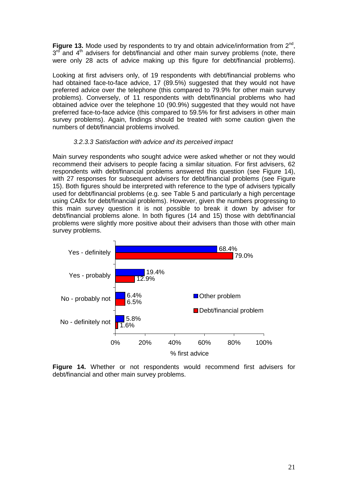**Figure 13.** Mode used by respondents to try and obtain advice/information from 2<sup>nd</sup>,  $3<sup>rd</sup>$  and  $4<sup>th</sup>$  advisers for debt/financial and other main survey problems (note, there were only 28 acts of advice making up this figure for debt/financial problems).

Looking at first advisers only, of 19 respondents with debt/financial problems who had obtained face-to-face advice, 17 (89.5%) suggested that they would not have preferred advice over the telephone (this compared to 79.9% for other main survey problems). Conversely, of 11 respondents with debt/financial problems who had obtained advice over the telephone 10 (90.9%) suggested that they would not have preferred face-to-face advice (this compared to 59.5% for first advisers in other main survey problems). Again, findings should be treated with some caution given the numbers of debt/financial problems involved.

#### *3.2.3.3 Satisfaction with advice and its perceived impact*

Main survey respondents who sought advice were asked whether or not they would recommend their advisers to people facing a similar situation. For first advisers, 62 respondents with debt/financial problems answered this question (see Figure 14), with 27 responses for subsequent advisers for debt/financial problems (see Figure 15). Both figures should be interpreted with reference to the type of advisers typically used for debt/financial problems (e.g. see Table 5 and particularly a high percentage using CABx for debt/financial problems). However, given the numbers progressing to this main survey question it is not possible to break it down by adviser for debt/financial problems alone. In both figures (14 and 15) those with debt/financial problems were slightly more positive about their advisers than those with other main survey problems.



**Figure 14.** Whether or not respondents would recommend first advisers for debt/financial and other main survey problems.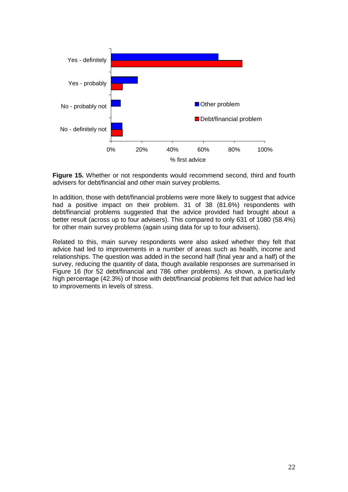

**Figure 15.** Whether or not respondents would recommend second, third and fourth advisers for debt/financial and other main survey problems.

In addition, those with debt/financial problems were more likely to suggest that advice had a positive impact on their problem. 31 of 38 (81.6%) respondents with debt/financial problems suggested that the advice provided had brought about a better result (across up to four advisers). This compared to only 631 of 1080 (58.4%) for other main survey problems (again using data for up to four advisers).

Related to this, main survey respondents were also asked whether they felt that advice had led to improvements in a number of areas such as health, income and relationships. The question was added in the second half (final year and a half) of the survey, reducing the quantity of data, though available responses are summarised in Figure 16 (for 52 debt/financial and 786 other problems). As shown, a particularly high percentage (42.3%) of those with debt/financial problems felt that advice had led to improvements in levels of stress.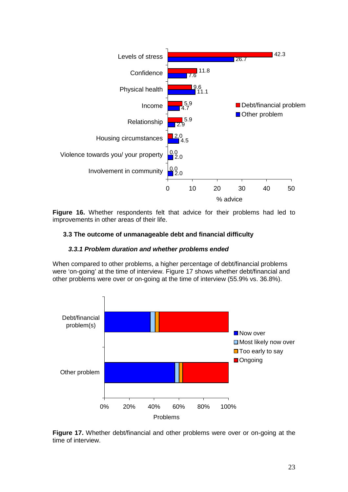

**Figure 16.** Whether respondents felt that advice for their problems had led to improvements in other areas of their life.

# **3.3 The outcome of unmanageable debt and financial difficulty**

#### *3.3.1 Problem duration and whether problems ended*

When compared to other problems, a higher percentage of debt/financial problems were 'on-going' at the time of interview. Figure 17 shows whether debt/financial and other problems were over or on-going at the time of interview (55.9% vs. 36.8%).



**Figure 17.** Whether debt/financial and other problems were over or on-going at the time of interview.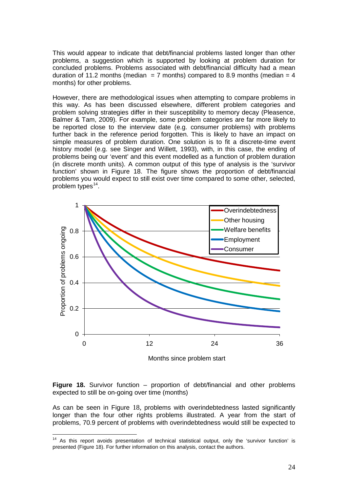This would appear to indicate that debt/financial problems lasted longer than other problems, a suggestion which is supported by looking at problem duration for concluded problems. Problems associated with debt/financial difficulty had a mean duration of 11.2 months (median = 7 months) compared to 8.9 months (median = 4 months) for other problems.

However, there are methodological issues when attempting to compare problems in this way. As has been discussed elsewhere, different problem categories and problem solving strategies differ in their susceptibility to memory decay (Pleasence, Balmer & Tam, 2009). For example, some problem categories are far more likely to be reported close to the interview date (e.g. consumer problems) with problems further back in the reference period forgotten. This is likely to have an impact on simple measures of problem duration. One solution is to fit a discrete-time event history model (e.g. see Singer and Willett, 1993), with, in this case, the ending of problems being our 'event' and this event modelled as a function of problem duration (in discrete month units). A common output of this type of analysis is the 'survivor function' shown in Figure 18. The figure shows the proportion of debt/financial problems you would expect to still exist over time compared to some other, selected, problem types<sup>[14](#page-27-0)</sup>.



Months since problem start

**Figure 18.** Survivor function – proportion of debt/financial and other problems expected to still be on-going over time (months)

As can be seen in Figure 18, problems with overindebtedness lasted significantly longer than the four other rights problems illustrated. A year from the start of problems, 70.9 percent of problems with overindebtedness would still be expected to

<span id="page-27-0"></span><sup>&</sup>lt;sup>14</sup> As this report avoids presentation of technical statistical output, only the 'survivor function' is presented (Figure 18). For further information on this analysis, contact the authors.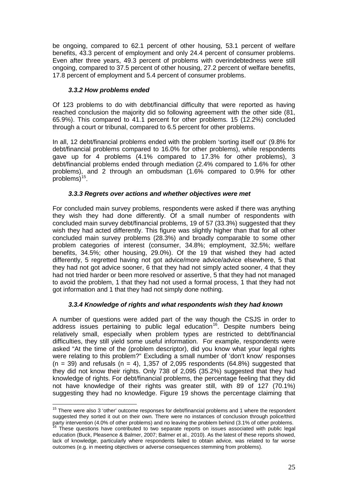be ongoing, compared to 62.1 percent of other housing, 53.1 percent of welfare benefits, 43.3 percent of employment and only 24.4 percent of consumer problems. Even after three years, 49.3 percent of problems with overindebtedness were still ongoing, compared to 37.5 percent of other housing, 27.2 percent of welfare benefits, 17.8 percent of employment and 5.4 percent of consumer problems.

# *3.3.2 How problems ended*

Of 123 problems to do with debt/financial difficulty that were reported as having reached conclusion the majority did so following agreement with the other side (81, 65.9%). This compared to 41.1 percent for other problems. 15 (12.2%) concluded through a court or tribunal, compared to 6.5 percent for other problems.

In all, 12 debt/financial problems ended with the problem 'sorting itself out' (9.8% for debt/financial problems compared to 16.0% for other problems), while respondents gave up for 4 problems (4.1% compared to 17.3% for other problems), 3 debt/financial problems ended through mediation (2.4% compared to 1.6% for other problems), and 2 through an ombudsman (1.6% compared to 0.9% for other problems $)^{15}$  $)^{15}$  $)^{15}$ .

# *3.3.3 Regrets over actions and whether objectives were met*

For concluded main survey problems, respondents were asked if there was anything they wish they had done differently. Of a small number of respondents with concluded main survey debt/financial problems, 19 of 57 (33.3%) suggested that they wish they had acted differently. This figure was slightly higher than that for all other concluded main survey problems (28.3%) and broadly comparable to some other problem categories of interest (consumer, 34.8%; employment, 32.5%; welfare benefits, 34.5%; other housing, 29.0%). Of the 19 that wished they had acted differently, 5 regretted having not got advice/more advice/advice elsewhere, 5 that they had not got advice sooner, 6 that they had not simply acted sooner, 4 that they had not tried harder or been more resolved or assertive, 5 that they had not managed to avoid the problem, 1 that they had not used a formal process, 1 that they had not got information and 1 that they had not simply done nothing.

# *3.3.4 Knowledge of rights and what respondents wish they had known*

A number of questions were added part of the way though the CSJS in order to address issues pertaining to public legal education<sup>[16](#page-28-1)</sup>. Despite numbers being relatively small, especially when problem types are restricted to debt/financial difficulties, they still yield some useful information. For example, respondents were asked "At the time of the (problem descriptor), did you know what your legal rights were relating to this problem?" Excluding a small number of 'don't know' responses  $(n = 39)$  and refusals  $(n = 4)$ , 1,357 of 2,095 respondents (64.8%) suggested that they did not know their rights. Only 738 of 2,095 (35.2%) suggested that they had knowledge of rights. For debt/financial problems, the percentage feeling that they did not have knowledge of their rights was greater still, with 89 of 127 (70.1%) suggesting they had no knowledge. Figure 19 shows the percentage claiming that

<span id="page-28-0"></span> $15$  There were also 3 'other' outcome responses for debt/financial problems and 1 where the respondent suggested they sorted it out on their own. There were no instances of conclusion through police/third party intervention (4.0% of other problems) and no leaving the problem behind (3.1% of other problems.

<span id="page-28-1"></span><sup>&</sup>lt;sup>16</sup> These questions have contributed to two separate reports on issues associated with public legal education (Buck, Pleasence & Balmer, 2007; Balmer et al., 2010). As the latest of these reports showed, lack of knowledge, particularly where respondents failed to obtain advice, was related to far worse outcomes (e.g. in meeting objectives or adverse consequences stemming from problems).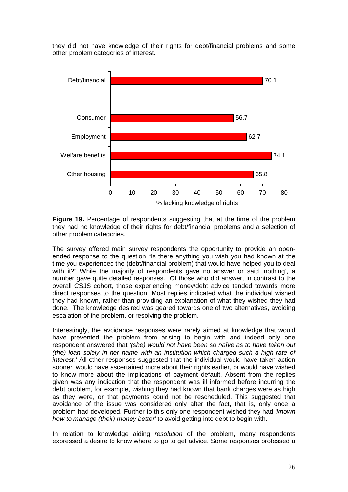they did not have knowledge of their rights for debt/financial problems and some other problem categories of interest.



**Figure 19.** Percentage of respondents suggesting that at the time of the problem they had no knowledge of their rights for debt/financial problems and a selection of other problem categories.

The survey offered main survey respondents the opportunity to provide an openended response to the question "Is there anything you wish you had known at the time you experienced the (debt/financial problem) that would have helped you to deal with it?" While the majority of respondents gave no answer or said 'nothing', a number gave quite detailed responses.Of those who did answer, in contrast to the overall CSJS cohort, those experiencing money/debt advice tended towards more direct responses to the question. Most replies indicated what the individual wished they had known, rather than providing an explanation of what they wished they had done. The knowledge desired was geared towards one of two alternatives, avoiding escalation of the problem, or resolving the problem.

Interestingly, the avoidance responses were rarely aimed at knowledge that would have prevented the problem from arising to begin with and indeed only one respondent answered that *'(she) would not have been so naïve as to have taken out (the) loan solely in her name with an institution which charged such a high rate of interest.'* All other responses suggested that the individual would have taken action sooner, would have ascertained more about their rights earlier, or would have wished to know more about the implications of payment default. Absent from the replies given was any indication that the respondent was ill informed before incurring the debt problem, for example, wishing they had known that bank charges were as high as they were, or that payments could not be rescheduled. This suggested that avoidance of the issue was considered only after the fact, that is, only once a problem had developed. Further to this only one respondent wished they had *'known how to manage (their) money better'* to avoid getting into debt to begin with.

In relation to knowledge aiding *resolution* of the problem, many respondents expressed a desire to know where to go to get advice. Some responses professed a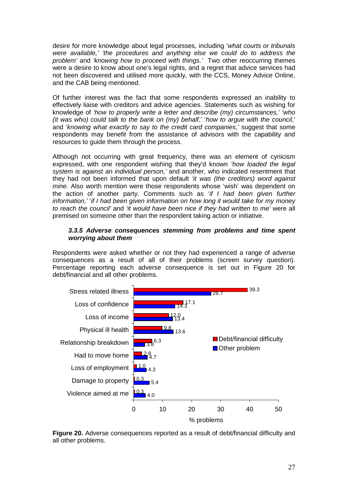desire for more knowledge about legal processes, including '*what courts or tribunals were available,' 'the procedures and anything else we could do to address the problem'* and *'knowing how to proceed with things.'* Two other reoccurring themes were a desire to know about one's legal rights, and a regret that advice services had not been discovered and utilised more quickly, with the CCS, Money Advice Online, and the CAB being mentioned.

Of further interest was the fact that some respondents expressed an inability to effectively liaise with creditors and advice agencies. Statements such as wishing for knowledge of *'how to properly write a letter and describe (my) circumstances,'* '*who (it was who) could talk to the bank on (my) behalf*,' '*how to argue with the council*,' and '*knowing what exactly to say to the credit card companies*,' suggest that some respondents may benefit from the assistance of advisors with the capability and resources to guide them through the process.

Although not occurring with great frequency, there was an element of cynicism expressed, with one respondent wishing that they'd known *'how loaded the legal system is against an individual person,'* and another, who indicated resentment that they had not been informed that upon default *'it was (the creditors) word against mine.* Also worth mention were those respondents whose 'wish' was dependent on the action of another party. Comments such as '*if I had been given further information,'* '*if I had been given information on how long it would take for my money to reach the council'* and *'it would have been nice if they had written to me'* were all premised on someone other than the respondent taking action or initiative.

#### *3.3.5 Adverse consequences stemming from problems and time spent worrying about them*

Respondents were asked whether or not they had experienced a range of adverse consequences as a result of all of their problems (screen survey question). Percentage reporting each adverse consequence is set out in Figure 20 for debt/financial and all other problems.



**Figure 20.** Adverse consequences reported as a result of debt/financial difficulty and all other problems.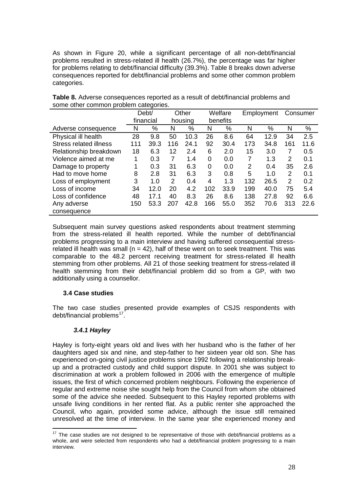As shown in Figure 20, while a significant percentage of all non-debt/financial problems resulted in stress-related ill health (26.7%), the percentage was far higher for problems relating to debt/financial difficulty (39.3%). Table 8 breaks down adverse consequences reported for debt/financial problems and some other common problem categories.

|                               | Debt/     |      | Other   |      | Welfare  |      | Employment |      | Consumer |      |
|-------------------------------|-----------|------|---------|------|----------|------|------------|------|----------|------|
|                               | financial |      | housing |      | benefits |      |            |      |          |      |
| Adverse consequence           | N         | %    | N       | %    | N        | %    | N          | %    | N        | %    |
| Physical ill health           | 28        | 9.8  | 50      | 10.3 | 26       | 8.6  | 64         | 12.9 | 34       | 2.5  |
| <b>Stress related illness</b> | 111       | 39.3 | 116     | 24.1 | 92       | 30.4 | 173        | 34.8 | 161      | 11.6 |
| Relationship breakdown        | 18        | 6.3  | 12      | 2.4  | 6        | 2.0  | 15         | 3.0  | 7        | 0.5  |
| Violence aimed at me          |           | 0.3  | 7       | 1.4  | 0        | 0.0  | 7          | 1.3  | 2        | 0.1  |
| Damage to property            | 1         | 0.3  | 31      | 6.3  | 0        | 0.0  | 2          | 0.4  | 35       | 2.6  |
| Had to move home              | 8         | 2.8  | 31      | 6.3  | 3        | 0.8  | 5          | 1.0  | 2        | 0.1  |
| Loss of employment            | 3         | 1.0  | 2       | 0.4  | 4        | 1.3  | 132        | 26.5 | 2        | 0.2  |
| Loss of income                | 34        | 12.0 | 20      | 4.2  | 102      | 33.9 | 199        | 40.0 | 75       | 5.4  |
| Loss of confidence            | 48        | 17.1 | 40      | 8.3  | 26       | 8.6  | 138        | 27.8 | 92       | 6.6  |
| Any adverse                   | 150       | 53.3 | 207     | 42.8 | 166      | 55.0 | 352        | 70.6 | 313      | 22.6 |
| consequence                   |           |      |         |      |          |      |            |      |          |      |

**Table 8.** Adverse consequences reported as a result of debt/financial problems and some other common problem categories.

Subsequent main survey questions asked respondents about treatment stemming from the stress-related ill health reported. While the number of debt/financial problems progressing to a main interview and having suffered consequential stressrelated ill health was small ( $n = 42$ ), half of these went on to seek treatment. This was comparable to the 48.2 percent receiving treatment for stress-related ill health stemming from other problems. All 21 of those seeking treatment for stress-related ill health stemming from their debt/financial problem did so from a GP, with two additionally using a counsellor.

# **3.4 Case studies**

The two case studies presented provide examples of CSJS respondents with debt/financial problems $17$ .

# *3.4.1 Hayley*

Hayley is forty-eight years old and lives with her husband who is the father of her daughters aged six and nine, and step-father to her sixteen year old son. She has experienced on-going civil justice problems since 1992 following a relationship breakup and a protracted custody and child support dispute. In 2001 she was subject to discrimination at work a problem followed in 2006 with the emergence of multiple issues, the first of which concerned problem neighbours. Following the experience of regular and extreme noise she sought help from the Council from whom she obtained some of the advice she needed. Subsequent to this Hayley reported problems with unsafe living conditions in her rented flat. As a public renter she approached the Council, who again, provided some advice, although the issue still remained unresolved at the time of interview. In the same year she experienced money and

<span id="page-31-0"></span> $17$  The case studies are not designed to be representative of those with debt/financial problems as a whole, and were selected from respondents who had a debt/financial problem progressing to a main interview.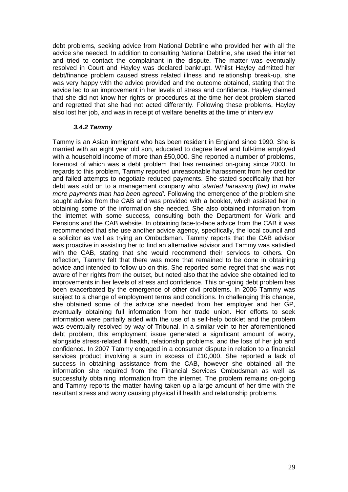debt problems, seeking advice from National Debtline who provided her with all the advice she needed. In addition to consulting National Debtline, she used the internet and tried to contact the complainant in the dispute. The matter was eventually resolved in Court and Hayley was declared bankrupt. Whilst Hayley admitted her debt/finance problem caused stress related illness and relationship break-up, she was very happy with the advice provided and the outcome obtained, stating that the advice led to an improvement in her levels of stress and confidence. Hayley claimed that she did not know her rights or procedures at the time her debt problem started and regretted that she had not acted differently. Following these problems, Hayley also lost her job, and was in receipt of welfare benefits at the time of interview

#### *3.4.2 Tammy*

Tammy is an Asian immigrant who has been resident in England since 1990. She is married with an eight year old son, educated to degree level and full-time employed with a household income of more than £50,000. She reported a number of problems, foremost of which was a debt problem that has remained on-going since 2003. In regards to this problem, Tammy reported unreasonable harassment from her creditor and failed attempts to negotiate reduced payments. She stated specifically that her debt was sold on to a management company who *'started harassing (her) to make more payments than had been agreed'*. Following the emergence of the problem she sought advice from the CAB and was provided with a booklet, which assisted her in obtaining some of the information she needed. She also obtained information from the internet with some success, consulting both the Department for Work and Pensions and the CAB website. In obtaining face-to-face advice from the CAB it was recommended that she use another advice agency, specifically, the local council and a solicitor as well as trying an Ombudsman. Tammy reports that the CAB advisor was proactive in assisting her to find an alternative advisor and Tammy was satisfied with the CAB, stating that she would recommend their services to others. On reflection, Tammy felt that there was more that remained to be done in obtaining advice and intended to follow up on this. She reported some regret that she was not aware of her rights from the outset, but noted also that the advice she obtained led to improvements in her levels of stress and confidence. This on-going debt problem has been exacerbated by the emergence of other civil problems. In 2006 Tammy was subject to a change of employment terms and conditions. In challenging this change, she obtained some of the advice she needed from her employer and her GP, eventually obtaining full information from her trade union. Her efforts to seek information were partially aided with the use of a self-help booklet and the problem was eventually resolved by way of Tribunal. In a similar vein to her aforementioned debt problem, this employment issue generated a significant amount of worry, alongside stress-related ill health, relationship problems, and the loss of her job and confidence. In 2007 Tammy engaged in a consumer dispute in relation to a financial services product involving a sum in excess of £10,000. She reported a lack of success in obtaining assistance from the CAB, however she obtained all the information she required from the Financial Services Ombudsman as well as successfully obtaining information from the internet. The problem remains on-going and Tammy reports the matter having taken up a large amount of her time with the resultant stress and worry causing physical ill health and relationship problems.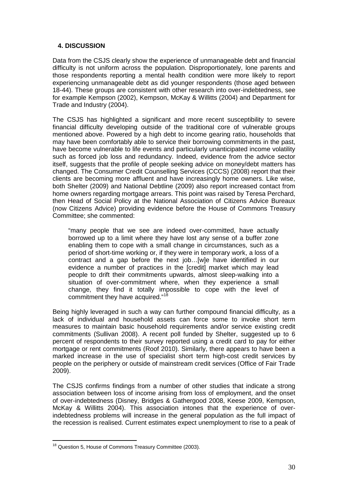# **4. DISCUSSION**

Data from the CSJS clearly show the experience of unmanageable debt and financial difficulty is not uniform across the population. Disproportionately, lone parents and those respondents reporting a mental health condition were more likely to report experiencing unmanageable debt as did younger respondents (those aged between 18-44). These groups are consistent with other research into over-indebtedness, see for example Kempson (2002), Kempson, McKay & Willitts (2004) and Department for Trade and Industry (2004).

The CSJS has highlighted a significant and more recent susceptibility to severe financial difficulty developing outside of the traditional core of vulnerable groups mentioned above. Powered by a high debt to income gearing ratio, households that may have been comfortably able to service their borrowing commitments in the past, have become vulnerable to life events and particularly unanticipated income volatility such as forced job loss and redundancy. Indeed, evidence from the advice sector itself, suggests that the profile of people seeking advice on money/debt matters has changed. The Consumer Credit Counselling Services (CCCS) (2008) report that their clients are becoming more affluent and have increasingly home owners. Like wise, both Shelter (2009) and National Debtline (2009) also report increased contact from home owners regarding mortgage arrears. This point was raised by Teresa Perchard, then Head of Social Policy at the National Association of Citizens Advice Bureaux (now Citizens Advice) providing evidence before the House of Commons Treasury Committee; she commented:

"many people that we see are indeed over-committed, have actually borrowed up to a limit where they have lost any sense of a buffer zone enabling them to cope with a small change in circumstances, such as a period of short-time working or, if they were in temporary work, a loss of a contract and a gap before the next job…[w]e have identified in our evidence a number of practices in the [credit] market which may lead people to drift their commitments upwards, almost sleep-walking into a situation of over-commitment where, when they experience a small change, they find it totally impossible to cope with the level of commitment they have acquired."[18](#page-33-0)

Being highly leveraged in such a way can further compound financial difficulty, as a lack of individual and household assets can force some to invoke short term measures to maintain basic household requirements and/or service existing credit commitments (Sullivan 2008). A recent poll funded by Shelter, suggested up to 6 percent of respondents to their survey reported using a credit card to pay for either mortgage or rent commitments (Roof 2010). Similarly, there appears to have been a marked increase in the use of specialist short term high-cost credit services by people on the periphery or outside of mainstream credit services (Office of Fair Trade 2009).

The CSJS confirms findings from a number of other studies that indicate a strong association between loss of income arising from loss of employment, and the onset of over-indebtedness (Disney, Bridges & Gathergood 2008, Keese 2009, Kempson, McKay & Willitts 2004). This association intones that the experience of overindebtedness problems will increase in the general population as the full impact of the recession is realised. Current estimates expect unemployment to rise to a peak of

<span id="page-33-0"></span><sup>&</sup>lt;sup>18</sup> Question 5, House of Commons Treasury Committee (2003).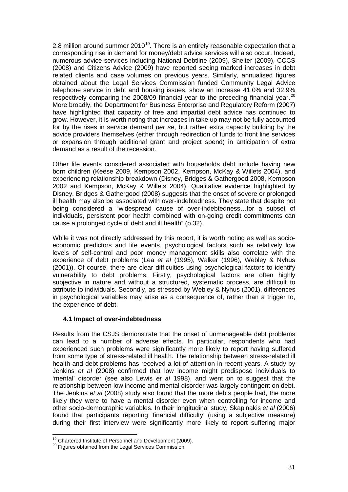2.8 million around summer  $2010^{19}$  $2010^{19}$  $2010^{19}$ . There is an entirely reasonable expectation that a corresponding rise in demand for money/debt advice services will also occur. Indeed, numerous advice services including National Debtline (2009), Shelter (2009), CCCS (2008) and Citizens Advice (2009) have reported seeing marked increases in debt related clients and case volumes on previous years. Similarly, annualised figures obtained about the Legal Services Commission funded Community Legal Advice telephone service in debt and housing issues, show an increase 41.0% and 32.9% respectively comparing the [20](#page-34-1)08/09 financial year to the preceding financial year.<sup>20</sup> More broadly, the Department for Business Enterprise and Regulatory Reform (2007) have highlighted that capacity of free and impartial debt advice has continued to grow. However, it is worth noting that increases in take up may not be fully accounted for by the rises in service demand *per se*, but rather extra capacity building by the advice providers themselves (either through redirection of funds to front line services or expansion through additional grant and project spend) in anticipation of extra demand as a result of the recession.

Other life events considered associated with households debt include having new born children (Keese 2009, Kempson 2002, Kempson, McKay & Willets 2004), and experiencing relationship breakdown (Disney, Bridges & Gathergood 2008, Kempson 2002 and Kempson, McKay & Willets 2004). Qualitative evidence highlighted by Disney, Bridges & Gathergood (2008) suggests that the onset of severe or prolonged ill health may also be associated with over-indebtedness. They state that despite not being considered a "widespread cause of over-indebtedness…for a subset of individuals, persistent poor health combined with on-going credit commitments can cause a prolonged cycle of debt and ill health" (p.32).

While it was not directly addressed by this report, it is worth noting as well as socioeconomic predictors and life events, psychological factors such as relatively low levels of self-control and poor money management skills also correlate with the experience of debt problems (Lea *et al* (1995), Walker (1996), Webley & Nyhus (2001)). Of course, there are clear difficulties using psychological factors to identify vulnerability to debt problems. Firstly, psychological factors are often highly subjective in nature and without a structured, systematic process, are difficult to attribute to individuals. Secondly, as stressed by Webley & Nyhus (2001), differences in psychological variables may arise as a consequence of, rather than a trigger to, the experience of debt.

#### **4.1 Impact of over-indebtedness**

Results from the CSJS demonstrate that the onset of unmanageable debt problems can lead to a number of adverse effects. In particular, respondents who had experienced such problems were significantly more likely to report having suffered from some type of stress-related ill health. The relationship between stress-related ill health and debt problems has received a lot of attention in recent years. A study by Jenkins *et al* (2008) confirmed that low income might predispose individuals to 'mental' disorder (see also Lewis *et al* 1998), and went on to suggest that the relationship between low income and mental disorder was largely contingent on debt. The Jenkins *et al* (2008) study also found that the more debts people had, the more likely they were to have a mental disorder even when controlling for income and other socio-demographic variables. In their longitudinal study, Skapinakis *et al* (2006) found that participants reporting 'financial difficulty' (using a subjective measure) during their first interview were significantly more likely to report suffering major

<span id="page-34-1"></span><span id="page-34-0"></span><sup>&</sup>lt;sup>19</sup> Chartered Institute of Personnel and Development (2009).<br><sup>20</sup> Figures obtained from the Legal Services Commission.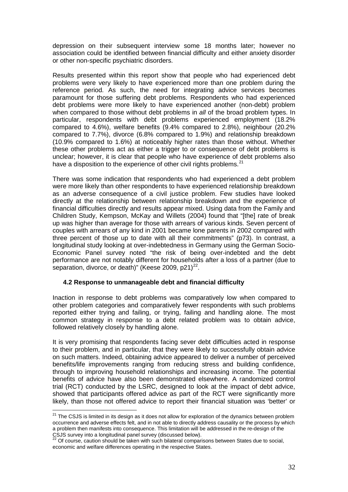depression on their subsequent interview some 18 months later; however no association could be identified between financial difficulty and either anxiety disorder or other non-specific psychiatric disorders.

Results presented within this report show that people who had experienced debt problems were very likely to have experienced more than one problem during the reference period. As such, the need for integrating advice services becomes paramount for those suffering debt problems. Respondents who had experienced debt problems were more likely to have experienced another (non-debt) problem when compared to those without debt problems in *all* of the broad problem types. In particular, respondents with debt problems experienced employment (18.2% compared to 4.6%), welfare benefits (9.4% compared to 2.8%), neighbour (20.2% compared to 7.7%), divorce (6.8% compared to 1.9%) and relationship breakdown (10.9% compared to 1.6%) at noticeably higher rates than those without. Whether these other problems act as either a trigger to or consequence of debt problems is unclear; however, it is clear that people who have experience of debt problems also have a disposition to the experience of other civil rights problems.<sup>[21](#page-35-0)</sup>

There was some indication that respondents who had experienced a debt problem were more likely than other respondents to have experienced relationship breakdown as an adverse consequence of a civil justice problem. Few studies have looked directly at the relationship between relationship breakdown and the experience of financial difficulties directly and results appear mixed. Using data from the Family and Children Study, Kempson, McKay and Willets (2004) found that "[the] rate of break up was higher than average for those with arrears of various kinds. Seven percent of couples with arrears of any kind in 2001 became lone parents in 2002 compared with three percent of those up to date with all their commitments" (p73). In contrast, a longitudinal study looking at over-indebtedness in Germany using the German Socio-Economic Panel survey noted "the risk of being over-indebted and the debt performance are not notably different for households after a loss of a partner (due to separation, divorce, or death)" (Keese 2009, p21) $^{22}$  $^{22}$  $^{22}$ .

#### **4.2 Response to unmanageable debt and financial difficulty**

Inaction in response to debt problems was comparatively low when compared to other problem categories and comparatively fewer respondents with such problems reported either trying and failing, or trying, failing and handling alone. The most common strategy in response to a debt related problem was to obtain advice, followed relatively closely by handling alone.

It is very promising that respondents facing sever debt difficulties acted in response to their problem, and in particular, that they were likely to successfully obtain advice on such matters. Indeed, obtaining advice appeared to deliver a number of perceived benefits/life improvements ranging from reducing stress and building confidence, through to improving household relationships and increasing income. The potential benefits of advice have also been demonstrated elsewhere. A randomized control trial (RCT) conducted by the LSRC, designed to look at the impact of debt advice, showed that participants offered advice as part of the RCT were significantly more likely, than those not offered advice to report their financial situation was 'better' or

<span id="page-35-0"></span> $21$  The CSJS is limited in its design as it does not allow for exploration of the dynamics between problem occurrence and adverse effects felt, and in not able to directly address causality or the process by which a problem then manifests into consequence. This limitation will be addressed in the re-design of the CSJS survey into a longitudinal panel survey (discussed below).

<span id="page-35-1"></span> $22$  Of course, caution should be taken with such bilateral comparisons between States due to social, economic and welfare differences operating in the respective States.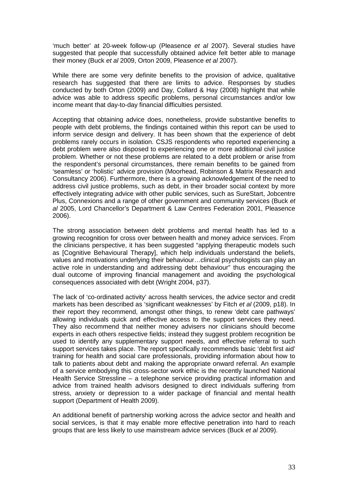'much better' at 20-week follow-up (Pleasence *et al* 2007). Several studies have suggested that people that successfully obtained advice felt better able to manage their money (Buck *et al* 2009, Orton 2009, Pleasence *et al* 2007).

While there are some very definite benefits to the provision of advice, qualitative research has suggested that there are limits to advice. Responses by studies conducted by both Orton (2009) and Day, Collard & Hay (2008) highlight that while advice was able to address specific problems, personal circumstances and/or low income meant that day-to-day financial difficulties persisted.

Accepting that obtaining advice does, nonetheless, provide substantive benefits to people with debt problems, the findings contained within this report can be used to inform service design and delivery. It has been shown that the experience of debt problems rarely occurs in isolation. CSJS respondents who reported experiencing a debt problem were also disposed to experiencing one or more additional civil justice problem. Whether or not these problems are related to a debt problem or arise from the respondent's personal circumstances, there remain benefits to be gained from 'seamless' or 'holistic' advice provision (Moorhead, Robinson & Matrix Research and Consultancy 2006). Furthermore, there is a growing acknowledgement of the need to address civil justice problems, such as debt, in their broader social context by more effectively integrating advice with other public services, such as SureStart, Jobcentre Plus, Connexions and a range of other government and community services (Buck *et al* 2005, Lord Chancellor's Department & Law Centres Federation 2001, Pleasence 2006).

The strong association between debt problems and mental health has led to a growing recognition for cross over between health and money advice services. From the clinicians perspective, it has been suggested "applying therapeutic models such as [Cognitive Behavioural Therapy], which help individuals understand the beliefs, values and motivations underlying their behaviour…clinical psychologists can play an active role in understanding and addressing debt behaviour" thus encouraging the dual outcome of improving financial management and avoiding the psychological consequences associated with debt (Wright 2004, p37).

The lack of 'co-ordinated activity' across health services, the advice sector and credit markets has been described as 'significant weaknesses' by Fitch *et al* (2009, p18). In their report they recommend, amongst other things, to renew 'debt care pathways' allowing individuals quick and effective access to the support services they need. They also recommend that neither money advisers nor clinicians should become experts in each others respective fields; instead they suggest problem recognition be used to identify any supplementary support needs, and effective referral to such support services takes place. The report specifically recommends basic 'debt first aid' training for health and social care professionals, providing information about how to talk to patients about debt and making the appropriate onward referral. An example of a service embodying this cross-sector work ethic is the recently launched National Health Service Stressline – a telephone service providing practical information and advice from trained health advisors designed to direct individuals suffering from stress, anxiety or depression to a wider package of financial and mental health support (Department of Health 2009).

An additional benefit of partnership working across the advice sector and health and social services, is that it may enable more effective penetration into hard to reach groups that are less likely to use mainstream advice services (Buck *et al* 2009).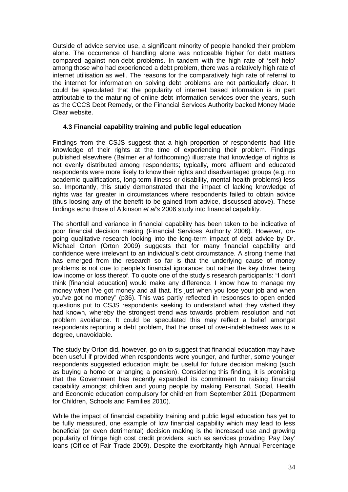Outside of advice service use, a significant minority of people handled their problem alone. The occurrence of handling alone was noticeable higher for debt matters compared against non-debt problems. In tandem with the high rate of 'self help' among those who had experienced a debt problem, there was a relatively high rate of internet utilisation as well. The reasons for the comparatively high rate of referral to the internet for information on solving debt problems are not particularly clear. It could be speculated that the popularity of internet based information is in part attributable to the maturing of online debt information services over the years, such as the CCCS Debt Remedy, or the Financial Services Authority backed Money Made Clear website.

#### **4.3 Financial capability training and public legal education**

Findings from the CSJS suggest that a high proportion of respondents had little knowledge of their rights at the time of experiencing their problem. Findings published elsewhere (Balmer *et al* forthcoming) illustrate that knowledge of rights is not evenly distributed among respondents; typically, more affluent and educated respondents were more likely to know their rights and disadvantaged groups (e.g. no academic qualifications, long-term illness or disability, mental health problems) less so. Importantly, this study demonstrated that the impact of lacking knowledge of rights was far greater in circumstances where respondents failed to obtain advice (thus loosing any of the benefit to be gained from advice, discussed above). These findings echo those of Atkinson *et al's* 2006 study into financial capability.

The shortfall and variance in financial capability has been taken to be indicative of poor financial decision making (Financial Services Authority 2006). However, ongoing qualitative research looking into the long-term impact of debt advice by Dr. Michael Orton (Orton 2009) suggests that for many financial capability and confidence were irrelevant to an individual's debt circumstance. A strong theme that has emerged from the research so far is that the underlying cause of money problems is not due to people's financial ignorance; but rather the key driver being low income or loss thereof. To quote one of the study's research participants: "I don't think [financial education] would make any difference. I know how to manage my money when I've got money and all that. It's just when you lose your job and when you've got no money" (p36). This was partly reflected in responses to open ended questions put to CSJS respondents seeking to understand what they wished they had known, whereby the strongest trend was towards problem resolution and not problem avoidance. It could be speculated this may reflect a belief amongst respondents reporting a debt problem, that the onset of over-indebtedness was to a degree, unavoidable.

The study by Orton did, however, go on to suggest that financial education may have been useful if provided when respondents were younger, and further, some younger respondents suggested education might be useful for future decision making (such as buying a home or arranging a pension). Considering this finding, it is promising that the Government has recently expanded its commitment to raising financial capability amongst children and young people by making Personal, Social, Health and Economic education compulsory for children from September 2011 (Department for Children, Schools and Families 2010).

While the impact of financial capability training and public legal education has yet to be fully measured, one example of low financial capability which may lead to less beneficial (or even detrimental) decision making is the increased use and growing popularity of fringe high cost credit providers, such as services providing 'Pay Day' loans (Office of Fair Trade 2009). Despite the exorbitantly high Annual Percentage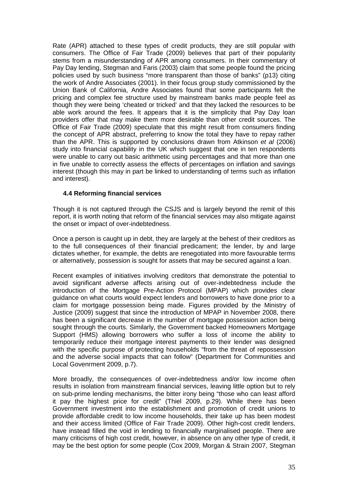Rate (APR) attached to these types of credit products, they are still popular with consumers. The Office of Fair Trade (2009) believes that part of their popularity stems from a misunderstanding of APR among consumers. In their commentary of Pay Day lending, Stegman and Faris (2003) claim that some people found the pricing policies used by such business "more transparent than those of banks" (p13) citing the work of Andre Associates (2001). In their focus group study commissioned by the Union Bank of California, Andre Associates found that some participants felt the pricing and complex fee structure used by mainstream banks made people feel as though they were being 'cheated or tricked' and that they lacked the resources to be able work around the fees. It appears that it is the simplicity that Pay Day loan providers offer that may make them more desirable than other credit sources. The Office of Fair Trade (2009) speculate that this might result from consumers finding the concept of APR abstract, preferring to know the total they have to repay rather than the APR. This is supported by conclusions drawn from Atkinson *et al* (2006) study into financial capability in the UK which suggest that one in ten respondents were unable to carry out basic arithmetic using percentages and that more than one in five unable to correctly assess the effects of percentages on inflation and savings interest (though this may in part be linked to understanding of terms such as inflation and interest).

# **4.4 Reforming financial services**

Though it is not captured through the CSJS and is largely beyond the remit of this report, it is worth noting that reform of the financial services may also mitigate against the onset or impact of over-indebtedness.

Once a person is caught up in debt, they are largely at the behest of their creditors as to the full consequences of their financial predicament; the lender, by and large dictates whether, for example, the debts are renegotiated into more favourable terms or alternatively, possession is sought for assets that may be secured against a loan.

Recent examples of initiatives involving creditors that demonstrate the potential to avoid significant adverse affects arising out of over-indebtedness include the introduction of the Mortgage Pre-Action Protocol (MPAP) which provides clear guidance on what courts would expect lenders and borrowers to have done prior to a claim for mortgage possession being made. Figures provided by the Ministry of Justice (2009) suggest that since the introduction of MPAP in November 2008, there has been a significant decrease in the number of mortgage possession action being sought through the courts. Similarly, the Government backed Homeowners Mortgage Support (HMS) allowing borrowers who suffer a loss of income the ability to temporarily reduce their mortgage interest payments to their lender was designed with the specific purpose of protecting households "from the threat of repossession and the adverse social impacts that can follow" (Department for Communities and Local Govenrment 2009, p.7).

More broadly, the consequences of over-indebtedness and/or low income often results in isolation from mainstream financial services, leaving little option but to rely on sub-prime lending mechanisms, the bitter irony being "those who can least afford it pay the highest price for credit" (Thiel 2009, p.29). While there has been Government investment into the establishment and promotion of credit unions to provide affordable credit to low income households, their take up has been modest and their access limited (Office of Fair Trade 2009). Other high-cost credit lenders, have instead filled the void in lending to financially marginalised people. There are many criticisms of high cost credit, however, in absence on any other type of credit, it may be the best option for some people (Cox 2009, Morgan & Strain 2007, Stegman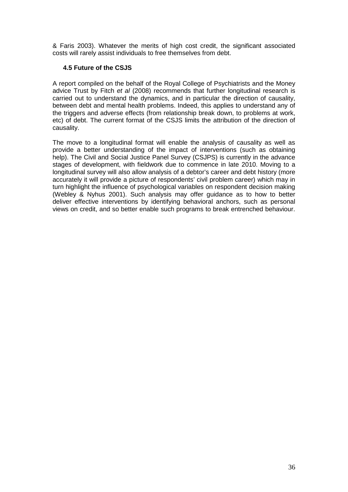& Faris 2003). Whatever the merits of high cost credit, the significant associated costs will rarely assist individuals to free themselves from debt.

#### **4.5 Future of the CSJS**

A report compiled on the behalf of the Royal College of Psychiatrists and the Money advice Trust by Fitch *et al* (2008) recommends that further longitudinal research is carried out to understand the dynamics, and in particular the direction of causality, between debt and mental health problems. Indeed, this applies to understand any of the triggers and adverse effects (from relationship break down, to problems at work, etc) of debt. The current format of the CSJS limits the attribution of the direction of causality.

The move to a longitudinal format will enable the analysis of causality as well as provide a better understanding of the impact of interventions (such as obtaining help). The Civil and Social Justice Panel Survey (CSJPS) is currently in the advance stages of development, with fieldwork due to commence in late 2010. Moving to a longitudinal survey will also allow analysis of a debtor's career and debt history (more accurately it will provide a picture of respondents' civil problem career) which may in turn highlight the influence of psychological variables on respondent decision making (Webley & Nyhus 2001). Such analysis may offer guidance as to how to better deliver effective interventions by identifying behavioral anchors, such as personal views on credit, and so better enable such programs to break entrenched behaviour.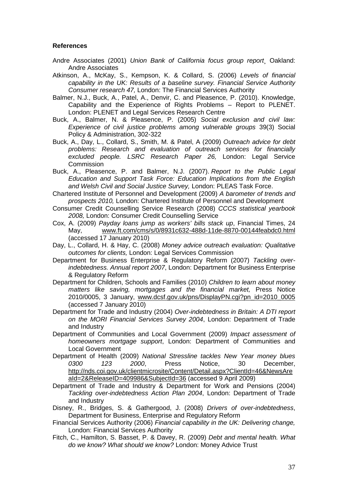#### **References**

- Andre Associates (2001) *Union Bank of California focus group report*¸ Oakland: Andre Associates
- Atkinson, A., McKay, S., Kempson, K. & Collard, S. (2006) *Levels of financial capability in the UK: Results of a baseline survey. Financial Service Authority Consumer research 47,* London: The Financial Services Authority
- Balmer, N.J., Buck, A., Patel, A., Denvir, C. and Pleasence, P. (2010). Knowledge, Capability and the Experience of Rights Problems – Report to PLENET. London: PLENET and Legal Services Research Centre
- Buck, A., Balmer, N. & Pleasence, P. (2005) *Social exclusion and civil law: Experience of civil justice problems among vulnerable groups* 39(3) Social Policy & Administration, 302-322
- Buck, A., Day, L., Collard, S., Smith, M. & Patel, A (2009) *Outreach advice for debt problems: Research and evaluation of outreach services for financially excluded people. LSRC Research Paper 26,* London: Legal Service **Commission**
- Buck, A., Pleasence, P. and Balmer, N.J. (2007). *Report to the Public Legal Education and Support Task Force: Education Implications from the English and Welsh Civil and Social Justice Survey,* London: PLEAS Task Force.
- Chartered Institute of Personnel and Development (2009) *A barometer of trends and prospects 2010,* London: Chartered Institute of Personnel and Development
- Consumer Credit Counselling Service Research (2008) *CCCS statistical yearbook 2008,* London: Consumer Credit Counselling Service
- Cox, A. (2009) *Payday loans jump as workers' bills stack up*, Financial Times, 24 May, [www.ft.com/cms/s/0/8931c632-488d-11de-8870-00144feabdc0.html](http://www.ft.com/cms/s/0/8931c632-488d-11de-8870-00144feabdc0.html) (accessed 17 January 2010)
- Day, L., Collard, H. & Hay, C. (2008) *Money advice outreach evaluation: Qualitative outcomes for clients,* London: Legal Services Commission
- Department for Business Enterprise & Regulatory Reform (2007) *Tackling overindebtedness. Annual report 2007*, London: Department for Business Enterprise & Regulatory Reform
- Department for Children, Schools and Families (2010) *Children to learn about money matters like saving, mortgages and the financial market,* Press Notice 2010/0005, 3 January, [www.dcsf.gov.uk/pns/DisplayPN.cgi?pn\\_id=2010\\_0005](http://www.dcsf.gov.uk/pns/DisplayPN.cgi?pn_id=2010_0005) (accessed 7 January 2010)
- Department for Trade and Industry (2004) *Over-indebtedness in Britain: A DTI report on the MORI Financial Services Survey 2004*, London: Department of Trade and Industry
- Department of Communities and Local Government (2009) *Impact assessment of homeowners mortgage support*, London: Department of Communities and Local Government
- Department of Health (2009) *National Stressline tackles New Year money blues 0300 123 2000*, Press Notice, 30 December, [http://nds.coi.gov.uk/clientmicrosite/Content/Detail.aspx?ClientId=46&NewsAre](http://nds.coi.gov.uk/clientmicrosite/Content/Detail.aspx?ClientId=46&NewsAreaId=2&ReleaseID=409986&SubjectId=36) [aId=2&ReleaseID=409986&SubjectId=36](http://nds.coi.gov.uk/clientmicrosite/Content/Detail.aspx?ClientId=46&NewsAreaId=2&ReleaseID=409986&SubjectId=36) (accessed 9 April 2009)
- Department of Trade and Industry & Department for Work and Pensions (2004) *Tackling over-indebtedness Action Plan 2004*, London: Department of Trade and Industry
- Disney, R., Bridges, S. & Gathergood, J. (2008) *Drivers of over-indebtedness*, Department for Business, Enterprise and Regulatory Reform
- Financial Services Authority (2006) *Financial capability in the UK: Delivering change,* London: Financial Services Authority
- Fitch, C., Hamilton, S. Basset, P. & Davey, R. (2009) *Debt and mental health. What do we know? What should we know?* London: Money Advice Trust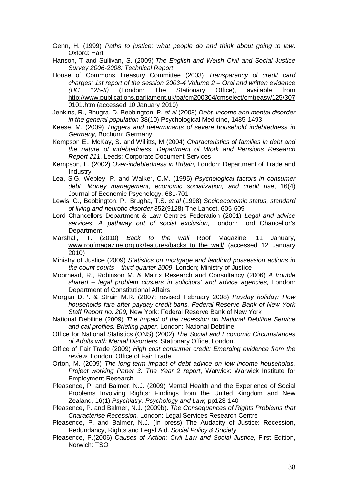Genn, H. (1999) *Paths to justice: what people do and think about going to law*. Oxford: Hart

Hanson, T and Sullivan, S. (2009) *The English and Welsh Civil and Social Justice Survey 2006-2008: Technical Report*

House of Commons Treasury Committee (2003) *Transparency of credit card charges: 1st report of the session 2003-4 Volume 2 – Oral and written evidence (HC 125-II)* (London: The Stationary Office), available from [http://www.publications.parliament.uk/pa/cm200304/cmselect/cmtreasy/125/307](http://www.publications.parliament.uk/pa/cm200304/cmselect/cmtreasy/125/3070101.htm) [0101.htm](http://www.publications.parliament.uk/pa/cm200304/cmselect/cmtreasy/125/3070101.htm) (accessed 10 January 2010)

Jenkins, R., Bhugra, D. Bebbington, P. *et al* (2008) *Debt, income and mental disorder in the general population* 38(10) Psychological Medicine, 1485-1493

- Keese, M. (2009) *Triggers and determinants of severe household indebtedness in Germany,* Bochum: Germany
- Kempson E., McKay, S. and Willitts, M (2004) *Characteristics of families in debt and the nature of indebtedness, Department of Work and Pensions Research Report 211*, Leeds: Corporate Document Services
- Kempson, E. (2002) *Over-indebtedness in Britain*, London: Department of Trade and **Industry**
- Lea, S.G, Webley, P. and Walker, C.M. (1995) *Psychological factors in consumer debt: Money management, economic socialization, and credit use*, 16(4) Journal of Economic Psychology, 681-701
- Lewis, G., Bebbington, P., Brugha, T.S. *et al* (1998) *Socioeconomic status, standard of living and neurotic disorder* 352(9128) The Lancet, 605-609
- Lord Chancellors Department & Law Centres Federation (2001) *Legal and advice services: A pathway out of social exclusion,* London: Lord Chancellor's **Department**
- Marshall, T. (2010) *Back to the wall* Roof Magazine, 11 January, [www.roofmagazine.org.uk/features/backs\\_to\\_the\\_wall/](http://www.roofmagazine.org.uk/features/backs_to_the_wall/) (accessed 12 January 2010)
- Ministry of Justice (2009) *Statistics on mortgage and landlord possession actions in the count courts – third quarter 2009*, London; Ministry of Justice
- Moorhead, R., Robinson M. & Matrix Research and Consultancy (2006) *A trouble shared – legal problem clusters in solicitors' and advice agencies,* London: Department of Constitutional Affairs
- Morgan D.P. & Strain M.R. (2007; revised February 2008) *Payday holiday: How households fare after payday credit bans. Federal Reserve Bank of New York Staff Report no. 209,* New York: Federal Reserve Bank of New York
- National Debtline (2009) *The impact of the recession on National Debtline Service and call profiles: Briefing paper,* London: National Debtline
- Office for National Statistics (ONS) (2002) *The Social and Economic Circumstances of Adults with Mental Disorders*. Stationary Office, London.
- Office of Fair Trade (2009) *High cost consumer credit: Emerging evidence from the review*, London: Office of Fair Trade
- Orton, M. (2009) *The long-term impact of debt advice on low income households. Project working Paper 3: The Year 2 report*, Warwick: Warwick Institute for Employment Research
- Pleasence, P. and Balmer, N.J. (2009) Mental Health and the Experience of Social Problems Involving Rights: Findings from the United Kingdom and New Zealand, 16(1) *Psychiatry, Psychology and Law,* pp123-140
- Pleasence, P. and Balmer, N.J. (2009b). *The Consequences of Rights Problems that Characterise Recession.* London: Legal Services Research Centre
- Pleasence, P. and Balmer, N.J. (In press) The Audacity of Justice: Recession, Redundancy, Rights and Legal Aid. *Social Policy & Society*
- Pleasence, P.(2006) C*auses of Action: Civil Law and Social Justice,* First Edition, Norwich: TSO